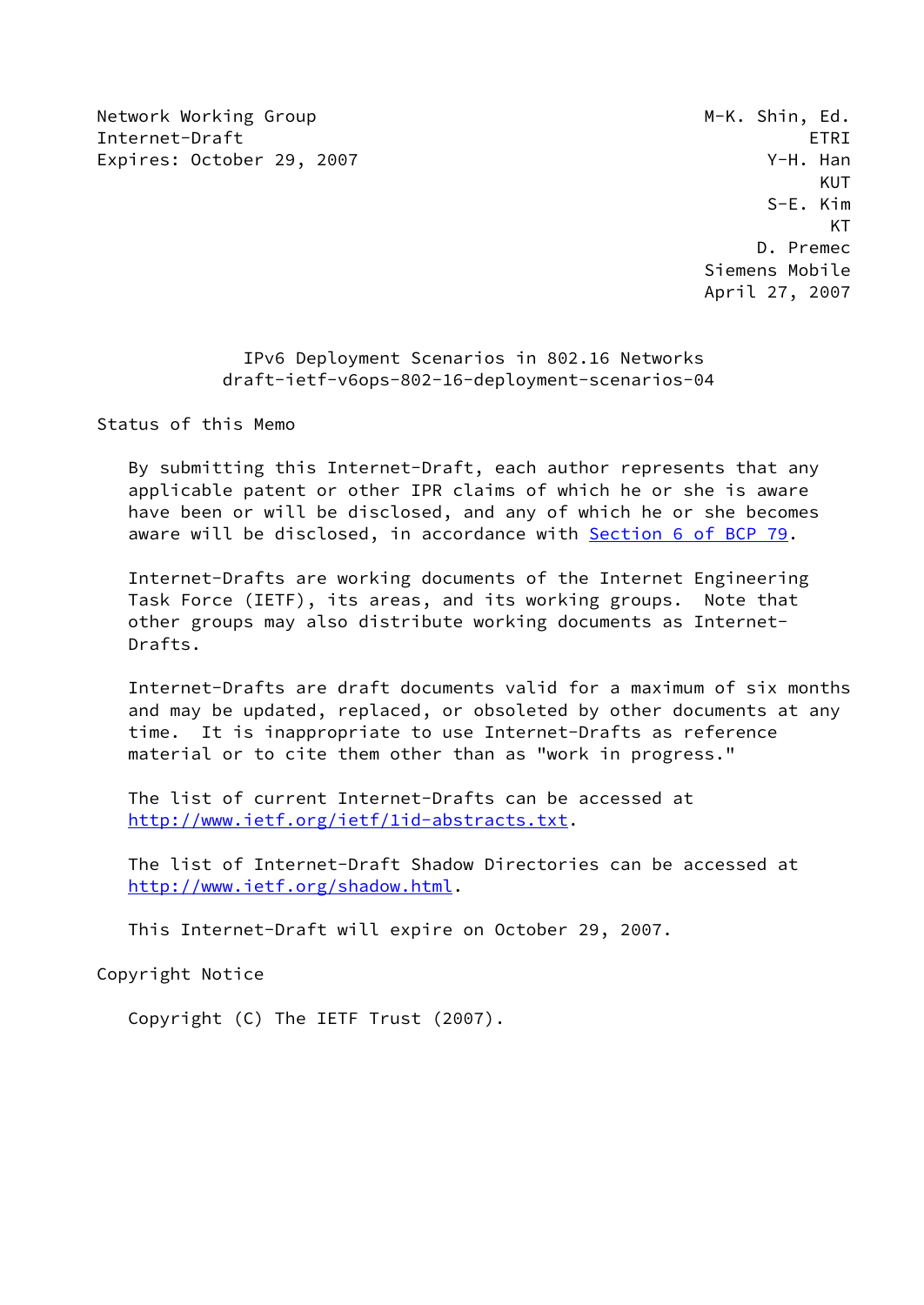Network Working Group M-K. Shin, Ed. Internet-Draft ETRI Expires: October 29, 2007 Canadian Control of the V-H. Han

**KUT KUT**  S-E. Kim KT D. Premec Siemens Mobile April 27, 2007

> IPv6 Deployment Scenarios in 802.16 Networks draft-ietf-v6ops-802-16-deployment-scenarios-04

Status of this Memo

 By submitting this Internet-Draft, each author represents that any applicable patent or other IPR claims of which he or she is aware have been or will be disclosed, and any of which he or she becomes aware will be disclosed, in accordance with Section [6 of BCP 79.](https://datatracker.ietf.org/doc/pdf/bcp79#section-6)

 Internet-Drafts are working documents of the Internet Engineering Task Force (IETF), its areas, and its working groups. Note that other groups may also distribute working documents as Internet- Drafts.

 Internet-Drafts are draft documents valid for a maximum of six months and may be updated, replaced, or obsoleted by other documents at any time. It is inappropriate to use Internet-Drafts as reference material or to cite them other than as "work in progress."

 The list of current Internet-Drafts can be accessed at <http://www.ietf.org/ietf/1id-abstracts.txt>.

 The list of Internet-Draft Shadow Directories can be accessed at <http://www.ietf.org/shadow.html>.

This Internet-Draft will expire on October 29, 2007.

Copyright Notice

Copyright (C) The IETF Trust (2007).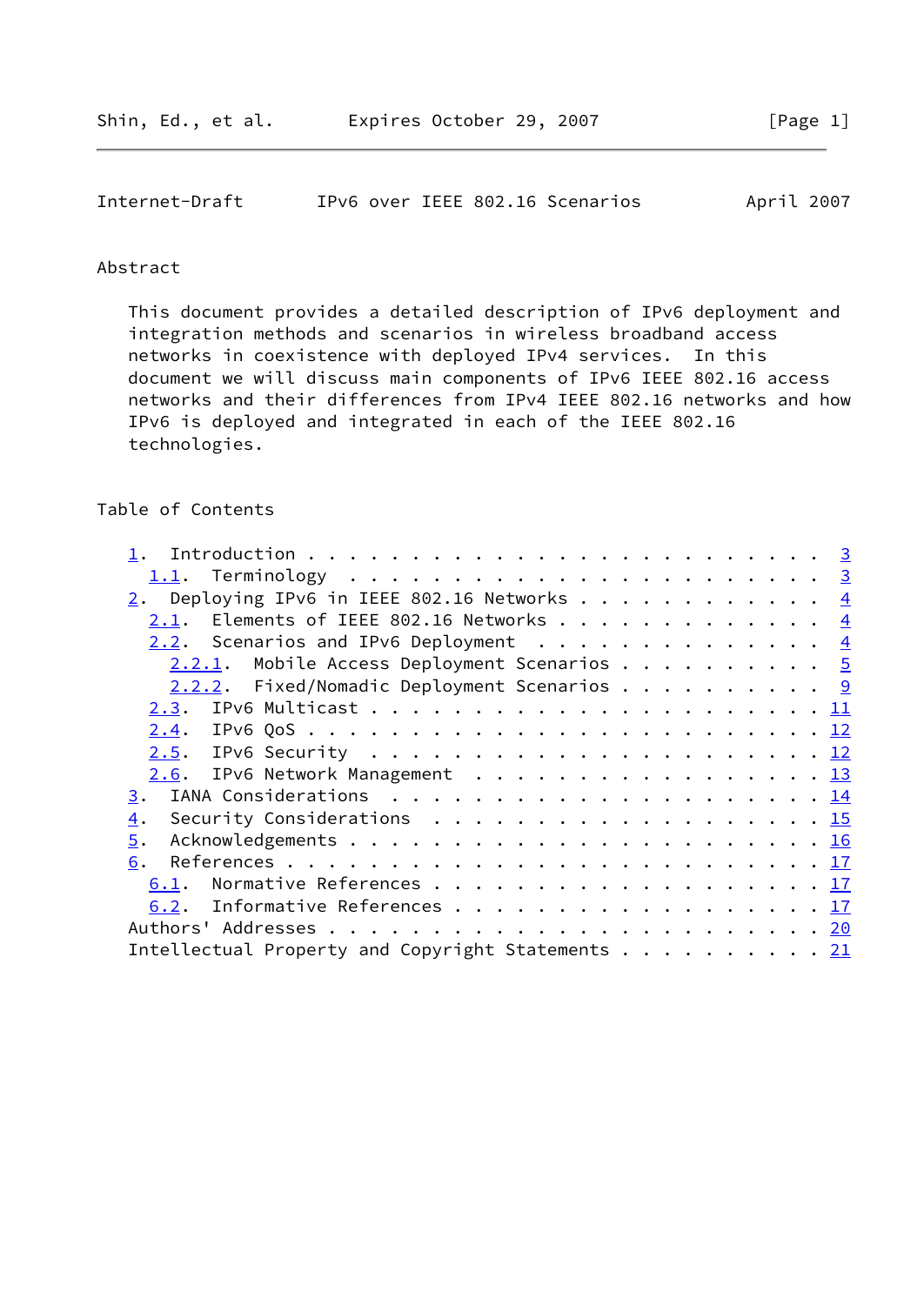| Internet-Draft |  | IPv6 over IEEE 802.16 Scenarios |  | April 2007 |  |
|----------------|--|---------------------------------|--|------------|--|
|----------------|--|---------------------------------|--|------------|--|

# Abstract

 This document provides a detailed description of IPv6 deployment and integration methods and scenarios in wireless broadband access networks in coexistence with deployed IPv4 services. In this document we will discuss main components of IPv6 IEEE 802.16 access networks and their differences from IPv4 IEEE 802.16 networks and how IPv6 is deployed and integrated in each of the IEEE 802.16 technologies.

# Table of Contents

| 2. Deploying IPv6 in IEEE 802.16 Networks $\frac{4}{3}$ |  |
|---------------------------------------------------------|--|
| Elements of IEEE 802.16 Networks $\frac{4}{3}$<br>2.1.  |  |
| 2.2. Scenarios and IPv6 Deployment 4                    |  |
| $2.2.1$ . Mobile Access Deployment Scenarios 5          |  |
| 2.2.2. Fixed/Nomadic Deployment Scenarios 9             |  |
| 2.3.                                                    |  |
|                                                         |  |
|                                                         |  |
| 2.6. IPv6 Network Management 13                         |  |
| 3.                                                      |  |
| Security Considerations 15<br>4.                        |  |
| 5.                                                      |  |
| 6.                                                      |  |
| Normative References 17<br>6.1.                         |  |
| 6.2. Informative References 17                          |  |
|                                                         |  |
| Intellectual Property and Copyright Statements 21       |  |
|                                                         |  |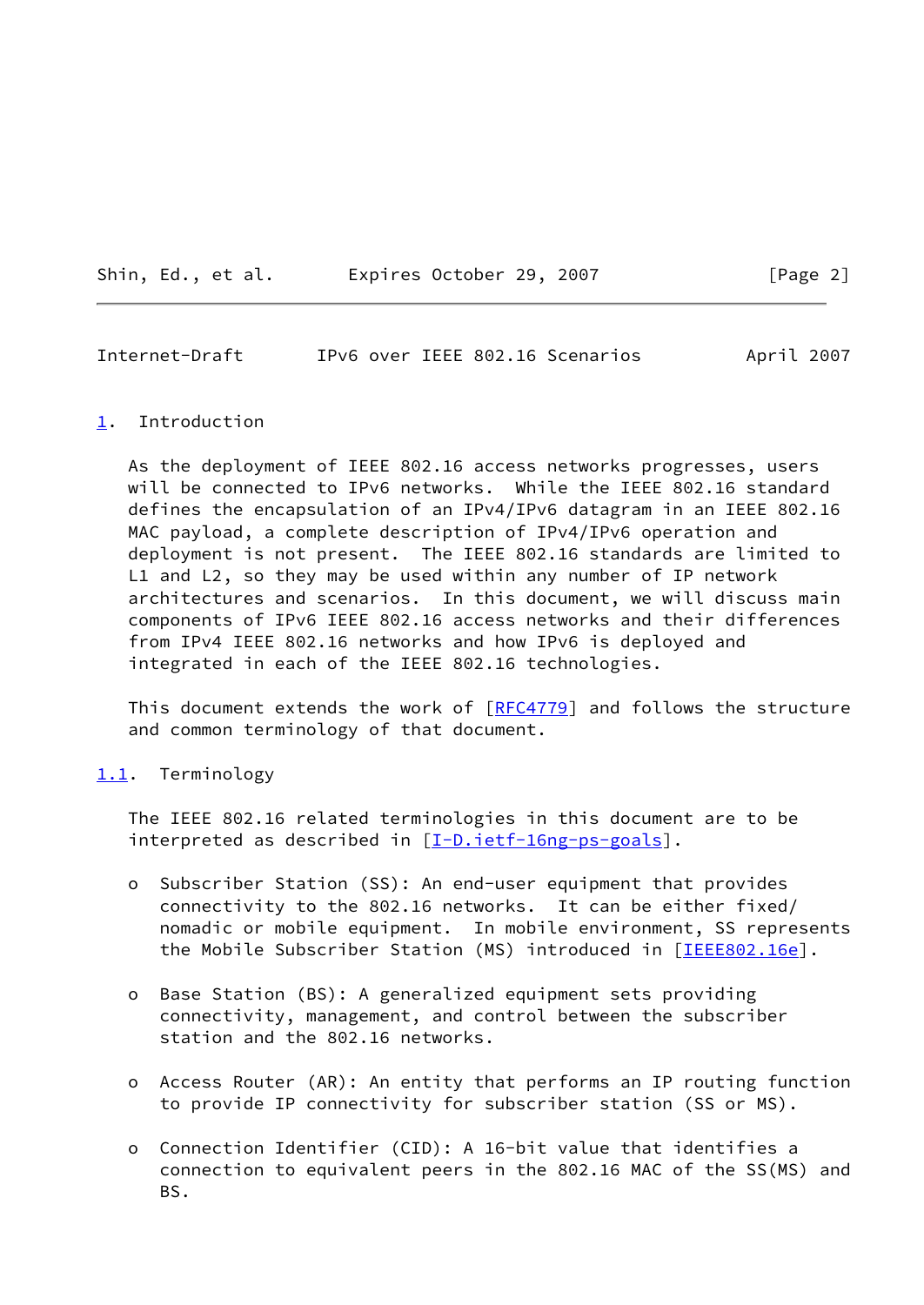| Shin, Ed., et al. |  |  | Expires October 29, 2007 |  |
|-------------------|--|--|--------------------------|--|
|                   |  |  |                          |  |

# $\lceil \text{Page 2} \rceil$

<span id="page-2-1"></span>Internet-Draft IPv6 over IEEE 802.16 Scenarios April 2007

### <span id="page-2-0"></span>[1](#page-2-0). Introduction

 As the deployment of IEEE 802.16 access networks progresses, users will be connected to IPv6 networks. While the IEEE 802.16 standard defines the encapsulation of an IPv4/IPv6 datagram in an IEEE 802.16 MAC payload, a complete description of IPv4/IPv6 operation and deployment is not present. The IEEE 802.16 standards are limited to L1 and L2, so they may be used within any number of IP network architectures and scenarios. In this document, we will discuss main components of IPv6 IEEE 802.16 access networks and their differences from IPv4 IEEE 802.16 networks and how IPv6 is deployed and integrated in each of the IEEE 802.16 technologies.

This document extends the work of [[RFC4779](https://datatracker.ietf.org/doc/pdf/rfc4779)] and follows the structure and common terminology of that document.

#### <span id="page-2-2"></span>[1.1](#page-2-2). Terminology

 The IEEE 802.16 related terminologies in this document are to be interpreted as described in [\[I-D.ietf-16ng-ps-goals](#page-18-4)].

- o Subscriber Station (SS): An end-user equipment that provides connectivity to the 802.16 networks. It can be either fixed/ nomadic or mobile equipment. In mobile environment, SS represents the Mobile Subscriber Station (MS) introduced in [\[IEEE802.16e](#page-19-0)].
- o Base Station (BS): A generalized equipment sets providing connectivity, management, and control between the subscriber station and the 802.16 networks.
- o Access Router (AR): An entity that performs an IP routing function to provide IP connectivity for subscriber station (SS or MS).
- o Connection Identifier (CID): A 16-bit value that identifies a connection to equivalent peers in the 802.16 MAC of the SS(MS) and BS.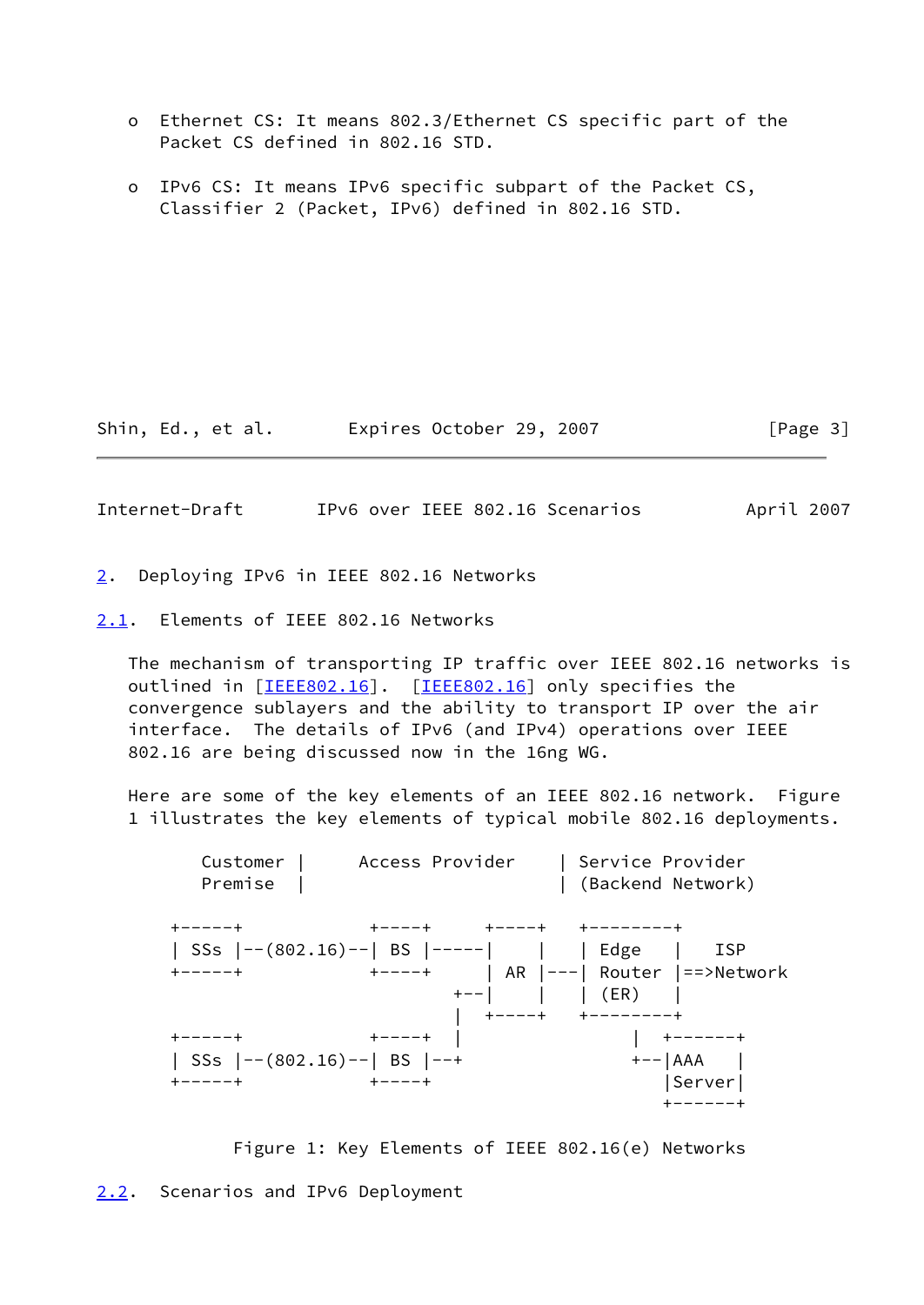- o Ethernet CS: It means 802.3/Ethernet CS specific part of the Packet CS defined in 802.16 STD.
- o IPv6 CS: It means IPv6 specific subpart of the Packet CS, Classifier 2 (Packet, IPv6) defined in 802.16 STD.

Shin, Ed., et al. Expires October 29, 2007 [Page 3]

<span id="page-3-1"></span>Internet-Draft IPv6 over IEEE 802.16 Scenarios April 2007

- <span id="page-3-0"></span>[2](#page-3-0). Deploying IPv6 in IEEE 802.16 Networks
- <span id="page-3-2"></span>[2.1](#page-3-2). Elements of IEEE 802.16 Networks

 The mechanism of transporting IP traffic over IEEE 802.16 networks is outlined in [\[IEEE802.16\]](#page-4-2). [[IEEE802.16\]](#page-4-2) only specifies the convergence sublayers and the ability to transport IP over the air interface. The details of IPv6 (and IPv4) operations over IEEE 802.16 are being discussed now in the 16ng WG.

 Here are some of the key elements of an IEEE 802.16 network. Figure 1 illustrates the key elements of typical mobile 802.16 deployments.

 Customer | Access Provider | Service Provider Premise | | (Backend Network) +-----+ +----+ +----+ +--------+ | SSs |--(802.16)--| BS |-----| | | | Edge | ISP +-----+ +----+ | AR |---| Router |==>Network +--| | | (ER) | | +----+ +--------+ +-----+ +----+ | | +------+ | SSs |--(802.16)--| BS |--+ +--|AAA | +-----+ +----+ |Server| +------+

Figure 1: Key Elements of IEEE 802.16(e) Networks

<span id="page-3-3"></span>[2.2](#page-3-3). Scenarios and IPv6 Deployment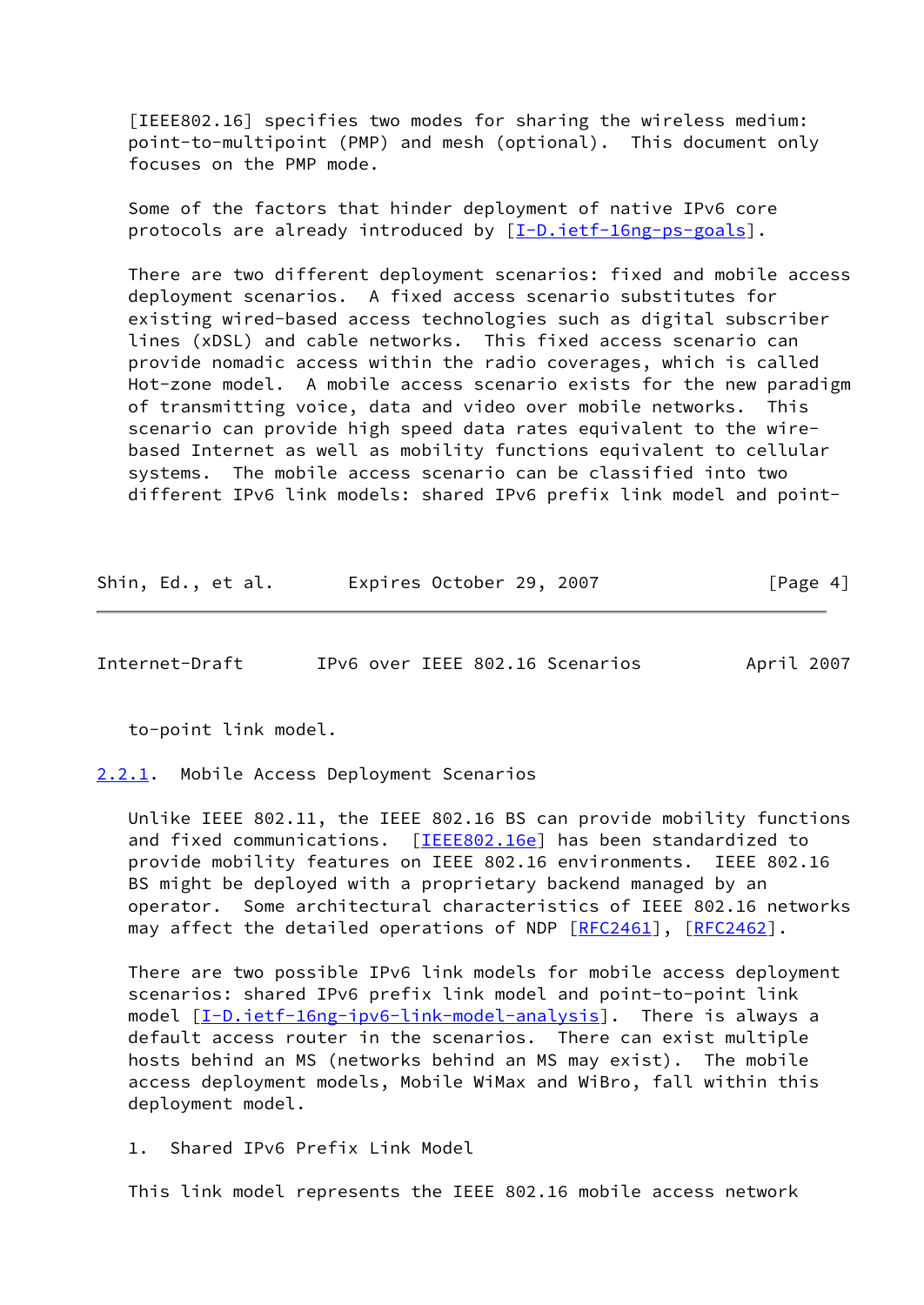<span id="page-4-2"></span>[IEEE802.16] specifies two modes for sharing the wireless medium: point-to-multipoint (PMP) and mesh (optional). This document only focuses on the PMP mode.

 Some of the factors that hinder deployment of native IPv6 core protocols are already introduced by [\[I-D.ietf-16ng-ps-goals](#page-18-4)].

 There are two different deployment scenarios: fixed and mobile access deployment scenarios. A fixed access scenario substitutes for existing wired-based access technologies such as digital subscriber lines (xDSL) and cable networks. This fixed access scenario can provide nomadic access within the radio coverages, which is called Hot-zone model. A mobile access scenario exists for the new paradigm of transmitting voice, data and video over mobile networks. This scenario can provide high speed data rates equivalent to the wire based Internet as well as mobility functions equivalent to cellular systems. The mobile access scenario can be classified into two different IPv6 link models: shared IPv6 prefix link model and point-

| Shin, Ed., et al. | Expires October 29, 2007 | [Page 4] |
|-------------------|--------------------------|----------|
|-------------------|--------------------------|----------|

<span id="page-4-1"></span>Internet-Draft IPv6 over IEEE 802.16 Scenarios April 2007

to-point link model.

<span id="page-4-0"></span>[2.2.1](#page-4-0). Mobile Access Deployment Scenarios

 Unlike IEEE 802.11, the IEEE 802.16 BS can provide mobility functions and fixed communications. [[IEEE802.16e\]](#page-19-0) has been standardized to provide mobility features on IEEE 802.16 environments. IEEE 802.16 BS might be deployed with a proprietary backend managed by an operator. Some architectural characteristics of IEEE 802.16 networks may affect the detailed operations of NDP [[RFC2461](https://datatracker.ietf.org/doc/pdf/rfc2461)], [\[RFC2462](https://datatracker.ietf.org/doc/pdf/rfc2462)].

 There are two possible IPv6 link models for mobile access deployment scenarios: shared IPv6 prefix link model and point-to-point link model [[I-D.ietf-16ng-ipv6-link-model-analysis](#page-19-1)]. There is always a default access router in the scenarios. There can exist multiple hosts behind an MS (networks behind an MS may exist). The mobile access deployment models, Mobile WiMax and WiBro, fall within this deployment model.

1. Shared IPv6 Prefix Link Model

This link model represents the IEEE 802.16 mobile access network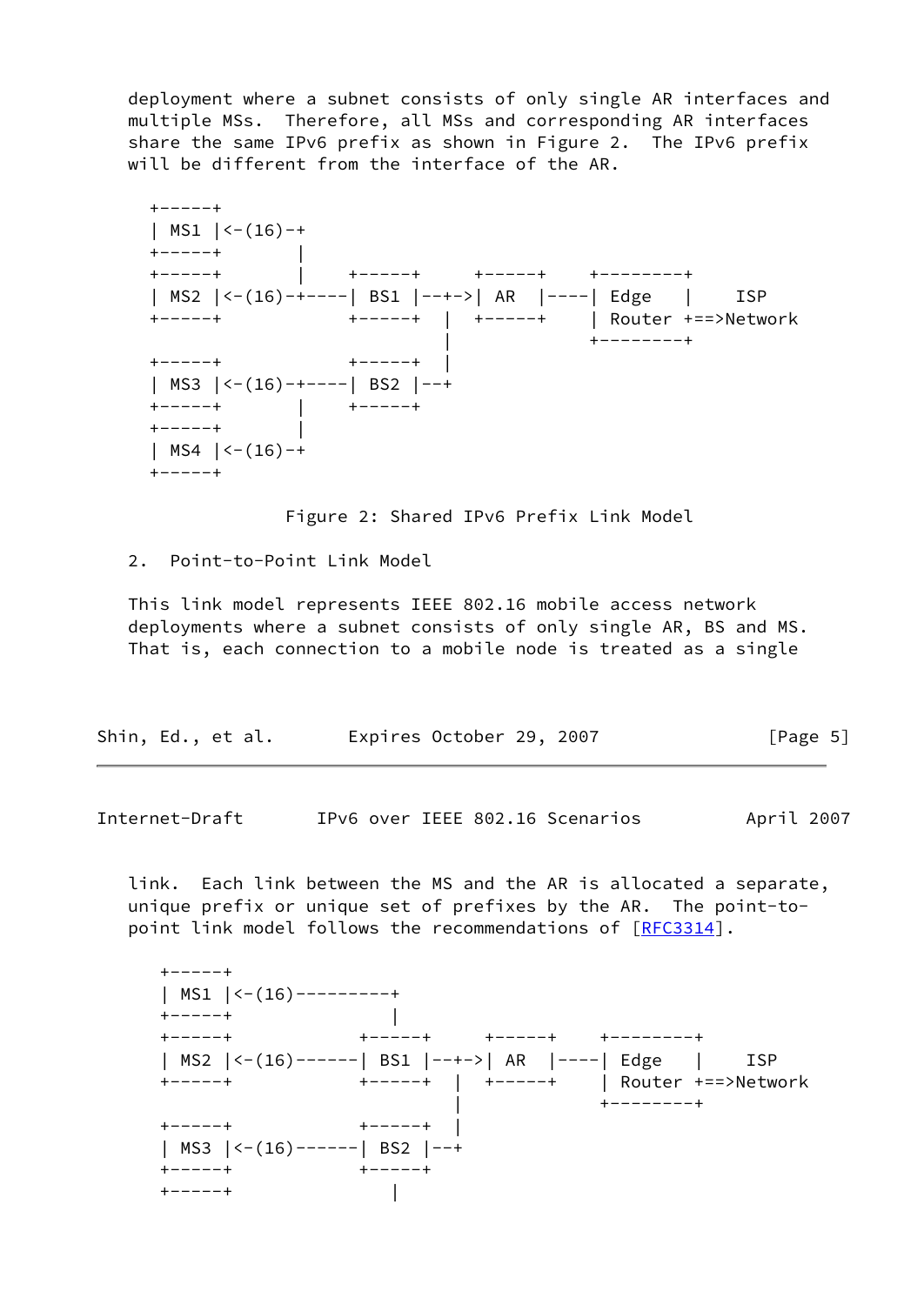deployment where a subnet consists of only single AR interfaces and multiple MSs. Therefore, all MSs and corresponding AR interfaces share the same IPv6 prefix as shown in Figure 2. The IPv6 prefix will be different from the interface of the AR.



Figure 2: Shared IPv6 Prefix Link Model

2. Point-to-Point Link Model

 This link model represents IEEE 802.16 mobile access network deployments where a subnet consists of only single AR, BS and MS. That is, each connection to a mobile node is treated as a single

| Shin, Ed., et al. | Expires October 29, 2007 | [Page 5] |
|-------------------|--------------------------|----------|
|-------------------|--------------------------|----------|

Internet-Draft IPv6 over IEEE 802.16 Scenarios April 2007

 link. Each link between the MS and the AR is allocated a separate, unique prefix or unique set of prefixes by the AR. The point-to- point link model follows the recommendations of [\[RFC3314](https://datatracker.ietf.org/doc/pdf/rfc3314)].

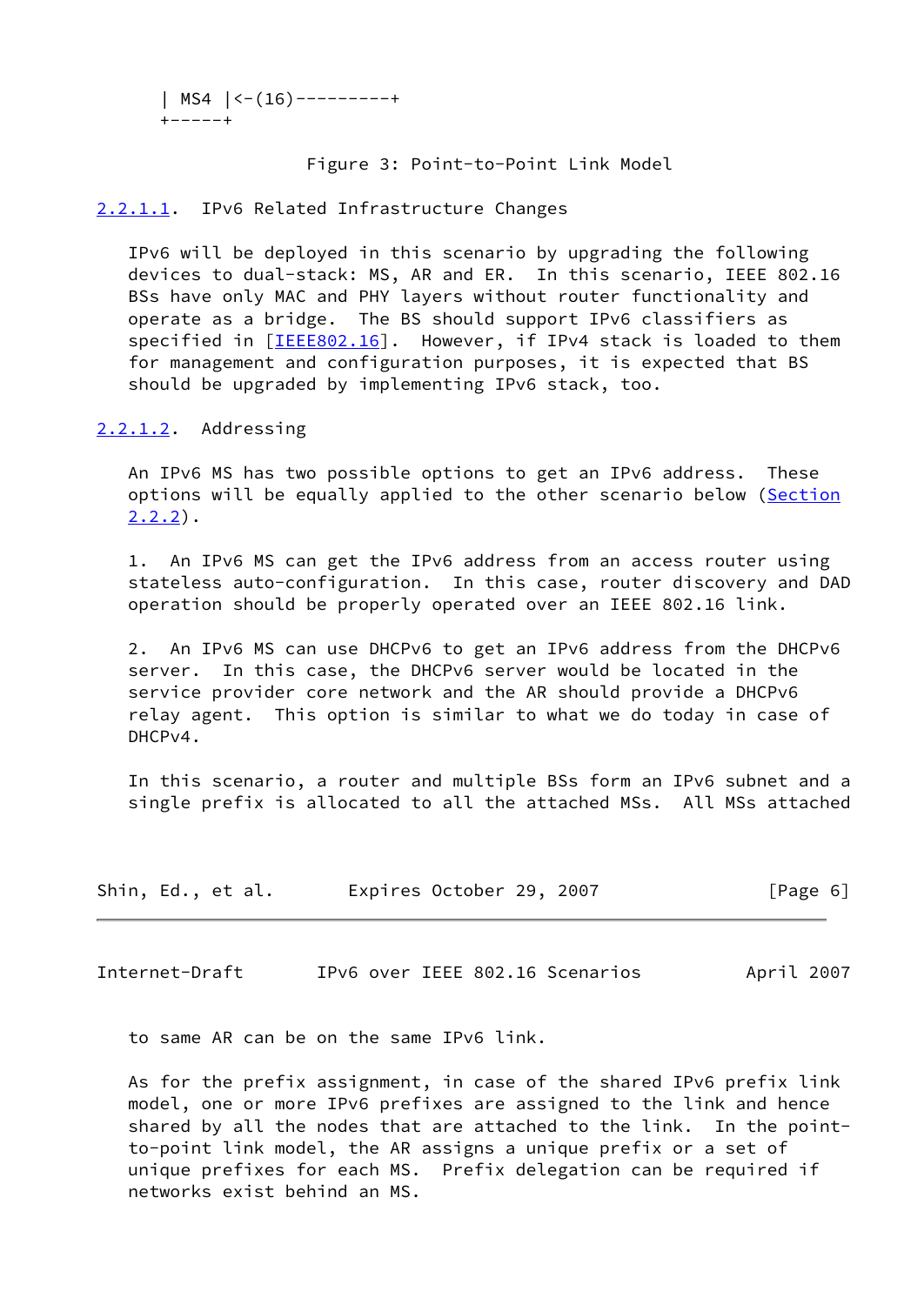|  $MS4$  |  $\left(- (16)$  ---------+ +-----+

Figure 3: Point-to-Point Link Model

### <span id="page-6-0"></span>[2.2.1.1](#page-6-0). IPv6 Related Infrastructure Changes

 IPv6 will be deployed in this scenario by upgrading the following devices to dual-stack: MS, AR and ER. In this scenario, IEEE 802.16 BSs have only MAC and PHY layers without router functionality and operate as a bridge. The BS should support IPv6 classifiers as specified in [\[IEEE802.16\]](#page-4-2). However, if IPv4 stack is loaded to them for management and configuration purposes, it is expected that BS should be upgraded by implementing IPv6 stack, too.

### <span id="page-6-1"></span>[2.2.1.2](#page-6-1). Addressing

 An IPv6 MS has two possible options to get an IPv6 address. These options will be equally applied to the other scenario below [\(Section](#page-9-0) [2.2.2](#page-9-0)).

 1. An IPv6 MS can get the IPv6 address from an access router using stateless auto-configuration. In this case, router discovery and DAD operation should be properly operated over an IEEE 802.16 link.

 2. An IPv6 MS can use DHCPv6 to get an IPv6 address from the DHCPv6 server. In this case, the DHCPv6 server would be located in the service provider core network and the AR should provide a DHCPv6 relay agent. This option is similar to what we do today in case of DHCPv4.

 In this scenario, a router and multiple BSs form an IPv6 subnet and a single prefix is allocated to all the attached MSs. All MSs attached

| Shin, Ed., et al.<br>Expires October 29, 2007 | [Page 6] |
|-----------------------------------------------|----------|
|-----------------------------------------------|----------|

Internet-Draft IPv6 over IEEE 802.16 Scenarios April 2007

to same AR can be on the same IPv6 link.

 As for the prefix assignment, in case of the shared IPv6 prefix link model, one or more IPv6 prefixes are assigned to the link and hence shared by all the nodes that are attached to the link. In the point to-point link model, the AR assigns a unique prefix or a set of unique prefixes for each MS. Prefix delegation can be required if networks exist behind an MS.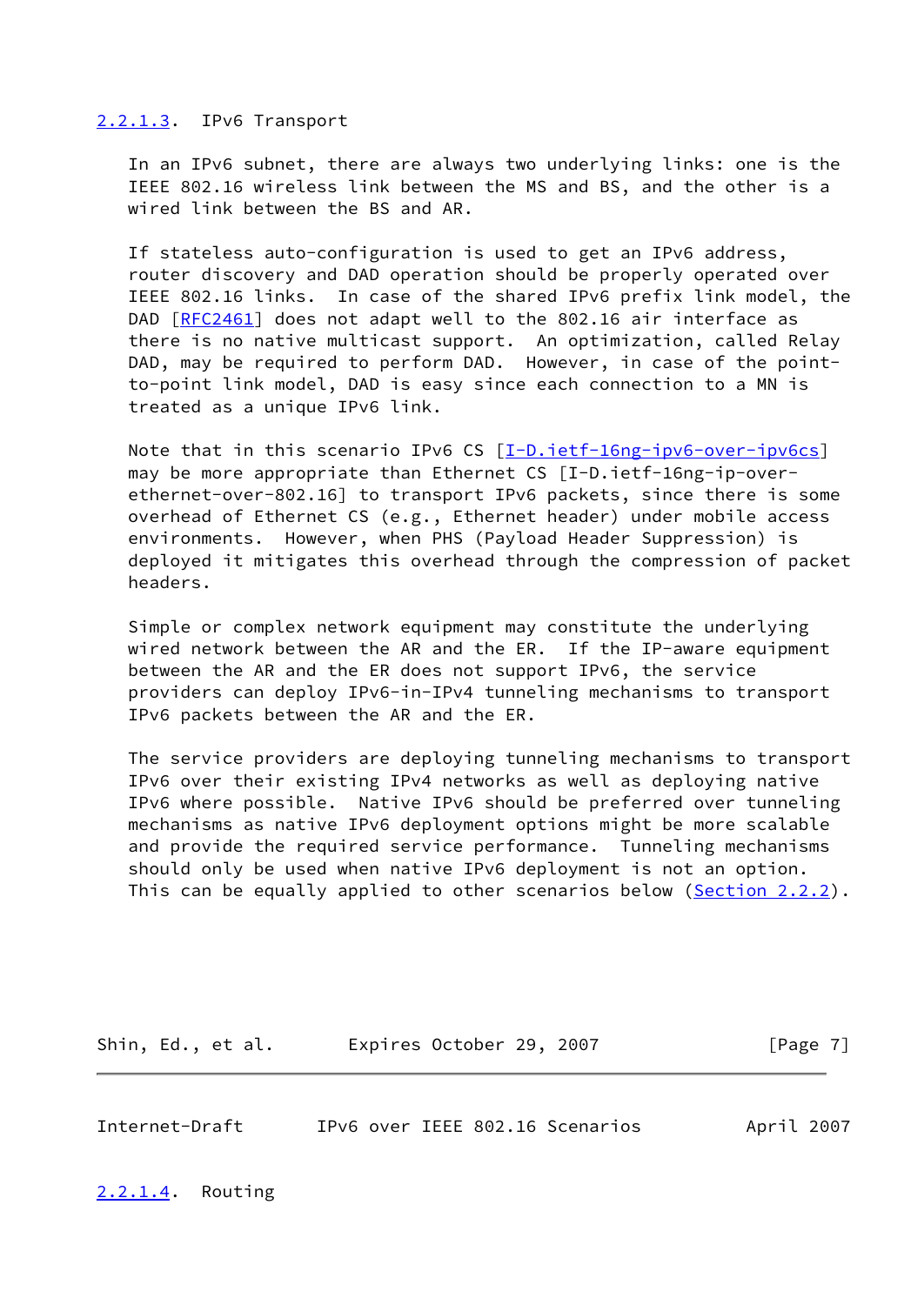### <span id="page-7-0"></span>[2.2.1.3](#page-7-0). IPv6 Transport

 In an IPv6 subnet, there are always two underlying links: one is the IEEE 802.16 wireless link between the MS and BS, and the other is a wired link between the BS and AR.

 If stateless auto-configuration is used to get an IPv6 address, router discovery and DAD operation should be properly operated over IEEE 802.16 links. In case of the shared IPv6 prefix link model, the DAD [\[RFC2461](https://datatracker.ietf.org/doc/pdf/rfc2461)] does not adapt well to the 802.16 air interface as there is no native multicast support. An optimization, called Relay DAD, may be required to perform DAD. However, in case of the point to-point link model, DAD is easy since each connection to a MN is treated as a unique IPv6 link.

 Note that in this scenario IPv6 CS [[I-D.ietf-16ng-ipv6-over-ipv6cs](#page-19-2)] may be more appropriate than Ethernet CS [I-D.ietf-16ng-ip-over ethernet-over-802.16] to transport IPv6 packets, since there is some overhead of Ethernet CS (e.g., Ethernet header) under mobile access environments. However, when PHS (Payload Header Suppression) is deployed it mitigates this overhead through the compression of packet headers.

 Simple or complex network equipment may constitute the underlying wired network between the AR and the ER. If the IP-aware equipment between the AR and the ER does not support IPv6, the service providers can deploy IPv6-in-IPv4 tunneling mechanisms to transport IPv6 packets between the AR and the ER.

 The service providers are deploying tunneling mechanisms to transport IPv6 over their existing IPv4 networks as well as deploying native IPv6 where possible. Native IPv6 should be preferred over tunneling mechanisms as native IPv6 deployment options might be more scalable and provide the required service performance. Tunneling mechanisms should only be used when native IPv6 deployment is not an option. This can be equally applied to other scenarios below [\(Section 2.2.2\)](#page-9-0).

Shin, Ed., et al. Expires October 29, 2007 [Page 7]

| Internet-Draft |  | IPv6 over IEEE 802.16 Scenarios | April 2007 |  |
|----------------|--|---------------------------------|------------|--|
|                |  |                                 |            |  |

<span id="page-7-1"></span>[2.2.1.4](#page-7-1). Routing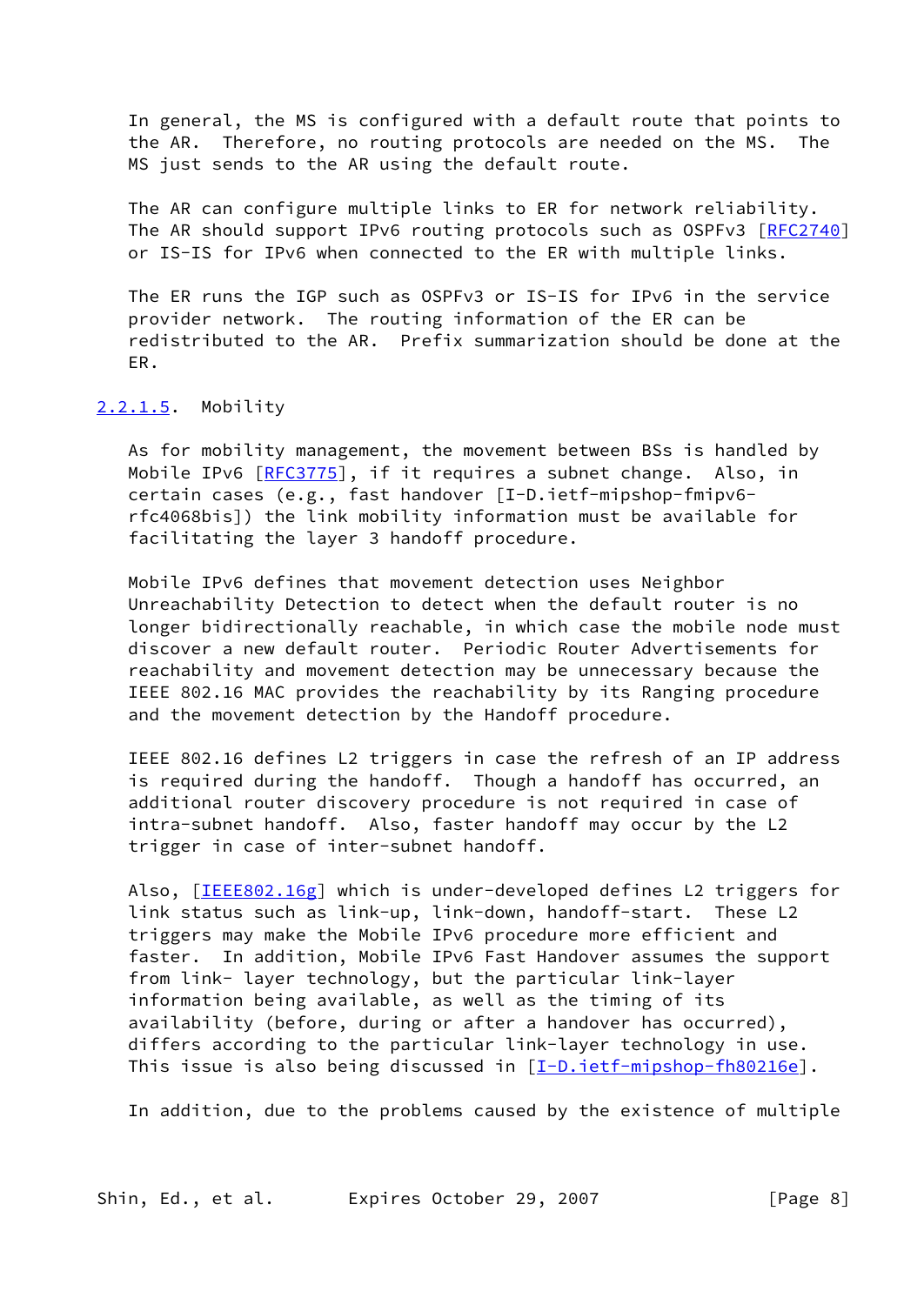In general, the MS is configured with a default route that points to the AR. Therefore, no routing protocols are needed on the MS. The MS just sends to the AR using the default route.

 The AR can configure multiple links to ER for network reliability. The AR should support IPv6 routing protocols such as OSPFv3 [\[RFC2740](https://datatracker.ietf.org/doc/pdf/rfc2740)] or IS-IS for IPv6 when connected to the ER with multiple links.

 The ER runs the IGP such as OSPFv3 or IS-IS for IPv6 in the service provider network. The routing information of the ER can be redistributed to the AR. Prefix summarization should be done at the ER.

<span id="page-8-0"></span>[2.2.1.5](#page-8-0). Mobility

 As for mobility management, the movement between BSs is handled by Mobile IPv6 [\[RFC3775](https://datatracker.ietf.org/doc/pdf/rfc3775)], if it requires a subnet change. Also, in certain cases (e.g., fast handover [I-D.ietf-mipshop-fmipv6 rfc4068bis]) the link mobility information must be available for facilitating the layer 3 handoff procedure.

 Mobile IPv6 defines that movement detection uses Neighbor Unreachability Detection to detect when the default router is no longer bidirectionally reachable, in which case the mobile node must discover a new default router. Periodic Router Advertisements for reachability and movement detection may be unnecessary because the IEEE 802.16 MAC provides the reachability by its Ranging procedure and the movement detection by the Handoff procedure.

 IEEE 802.16 defines L2 triggers in case the refresh of an IP address is required during the handoff. Though a handoff has occurred, an additional router discovery procedure is not required in case of intra-subnet handoff. Also, faster handoff may occur by the L2 trigger in case of inter-subnet handoff.

Also, [[IEEE802.16g](#page-20-0)] which is under-developed defines L2 triggers for link status such as link-up, link-down, handoff-start. These L2 triggers may make the Mobile IPv6 procedure more efficient and faster. In addition, Mobile IPv6 Fast Handover assumes the support from link- layer technology, but the particular link-layer information being available, as well as the timing of its availability (before, during or after a handover has occurred), differs according to the particular link-layer technology in use. This issue is also being discussed in [[I-D.ietf-mipshop-fh80216e\]](#page-19-3).

In addition, due to the problems caused by the existence of multiple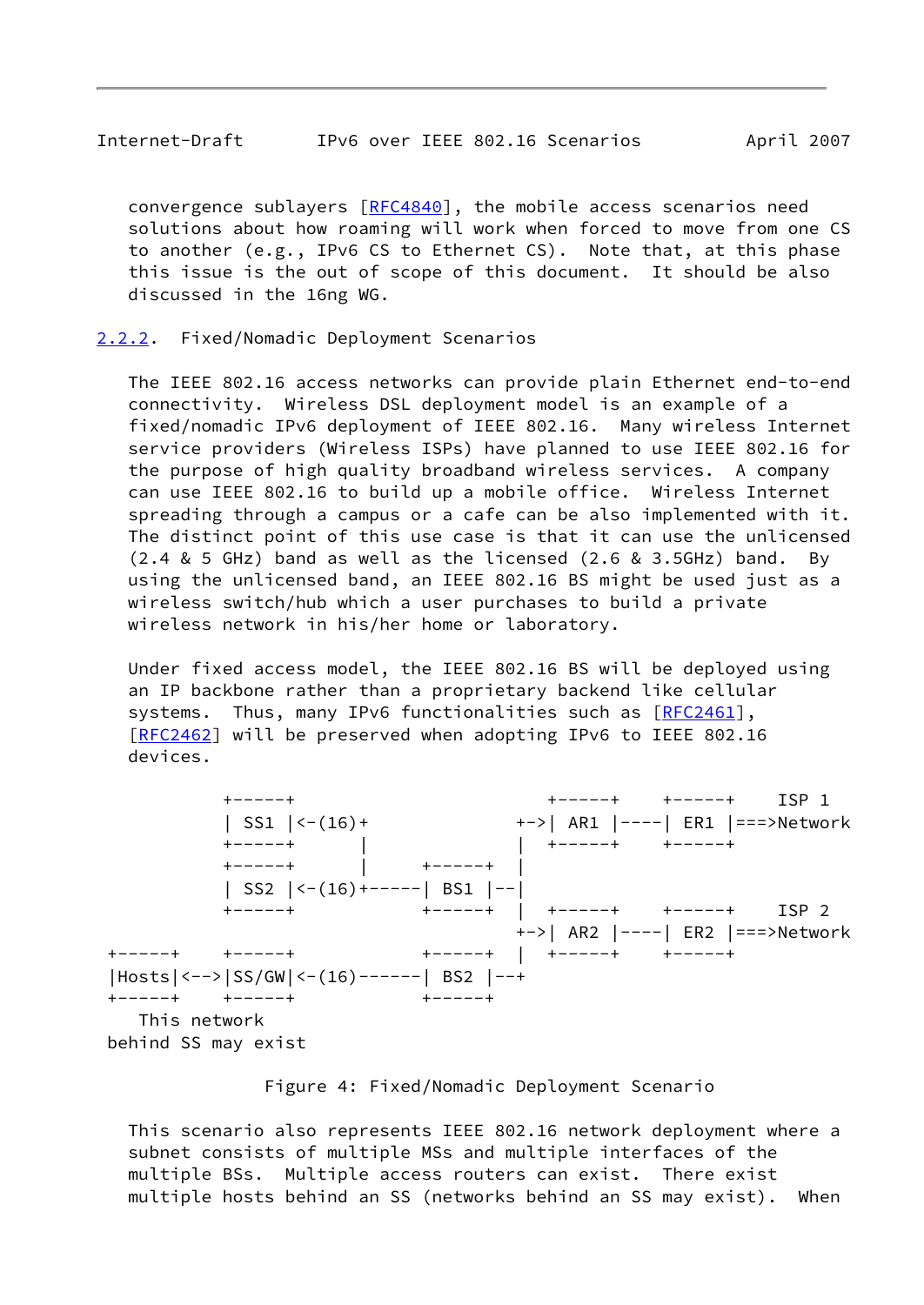<span id="page-9-1"></span>convergence sublayers [[RFC4840](https://datatracker.ietf.org/doc/pdf/rfc4840)], the mobile access scenarios need solutions about how roaming will work when forced to move from one CS to another (e.g., IPv6 CS to Ethernet CS). Note that, at this phase this issue is the out of scope of this document. It should be also discussed in the 16ng WG.

<span id="page-9-0"></span>[2.2.2](#page-9-0). Fixed/Nomadic Deployment Scenarios

 The IEEE 802.16 access networks can provide plain Ethernet end-to-end connectivity. Wireless DSL deployment model is an example of a fixed/nomadic IPv6 deployment of IEEE 802.16. Many wireless Internet service providers (Wireless ISPs) have planned to use IEEE 802.16 for the purpose of high quality broadband wireless services. A company can use IEEE 802.16 to build up a mobile office. Wireless Internet spreading through a campus or a cafe can be also implemented with it. The distinct point of this use case is that it can use the unlicensed (2.4 & 5 GHz) band as well as the licensed (2.6 & 3.5GHz) band. By using the unlicensed band, an IEEE 802.16 BS might be used just as a wireless switch/hub which a user purchases to build a private wireless network in his/her home or laboratory.

 Under fixed access model, the IEEE 802.16 BS will be deployed using an IP backbone rather than a proprietary backend like cellular systems. Thus, many IPv6 functionalities such as [[RFC2461](https://datatracker.ietf.org/doc/pdf/rfc2461)], [\[RFC2462](https://datatracker.ietf.org/doc/pdf/rfc2462)] will be preserved when adopting IPv6 to IEEE 802.16 devices.

 +-----+ +-----+ +-----+ ISP 1 | SS1 |<-(16)+ +->| AR1 |----| ER1 |===>Network  $|$  SS1 | < - (16) +<br>+-----+  $|$  +-----+ | +-----+ | | SS2 |<-(16)+-----| BS1 |--| +-----+ +-----+ | +-----+ +-----+ ISP 2 +->| AR2 |----| ER2 |===>Network +-----+ +-----+ +-----+ | +-----+ +-----+ |Hosts|<-->|SS/GW|<-(16)------| BS2 |--+ +-----+ +-----+ +-----+ This network behind SS may exist

### Figure 4: Fixed/Nomadic Deployment Scenario

 This scenario also represents IEEE 802.16 network deployment where a subnet consists of multiple MSs and multiple interfaces of the multiple BSs. Multiple access routers can exist. There exist multiple hosts behind an SS (networks behind an SS may exist). When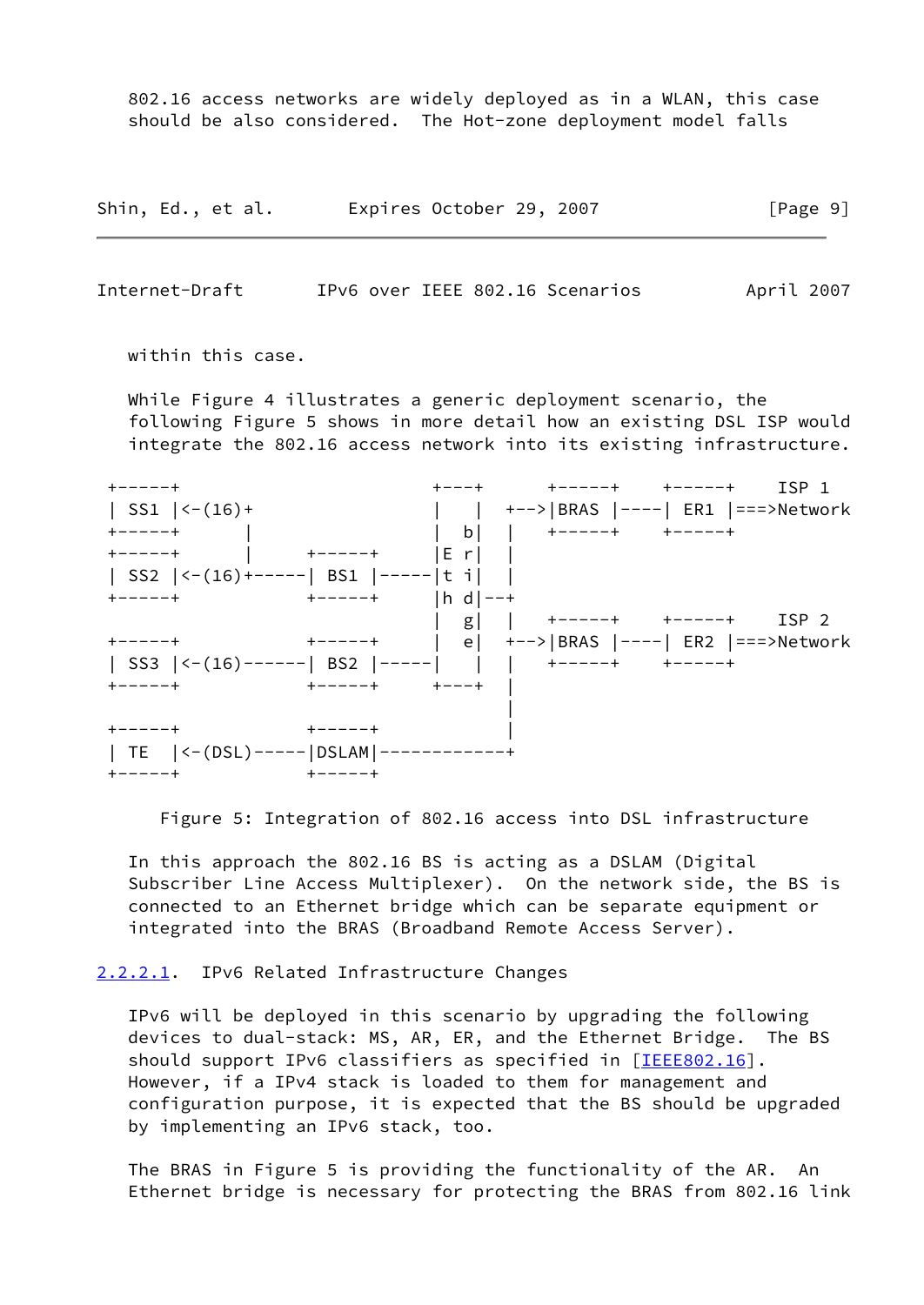802.16 access networks are widely deployed as in a WLAN, this case should be also considered. The Hot-zone deployment model falls

Shin, Ed., et al. Expires October 29, 2007 [Page 9]

Internet-Draft IPv6 over IEEE 802.16 Scenarios April 2007

within this case.

 While Figure 4 illustrates a generic deployment scenario, the following Figure 5 shows in more detail how an existing DSL ISP would integrate the 802.16 access network into its existing infrastructure.



Figure 5: Integration of 802.16 access into DSL infrastructure

 In this approach the 802.16 BS is acting as a DSLAM (Digital Subscriber Line Access Multiplexer). On the network side, the BS is connected to an Ethernet bridge which can be separate equipment or integrated into the BRAS (Broadband Remote Access Server).

## <span id="page-10-0"></span>[2.2.2.1](#page-10-0). IPv6 Related Infrastructure Changes

 IPv6 will be deployed in this scenario by upgrading the following devices to dual-stack: MS, AR, ER, and the Ethernet Bridge. The BS should support IPv6 classifiers as specified in [\[IEEE802.16\]](#page-4-2). However, if a IPv4 stack is loaded to them for management and configuration purpose, it is expected that the BS should be upgraded by implementing an IPv6 stack, too.

 The BRAS in Figure 5 is providing the functionality of the AR. An Ethernet bridge is necessary for protecting the BRAS from 802.16 link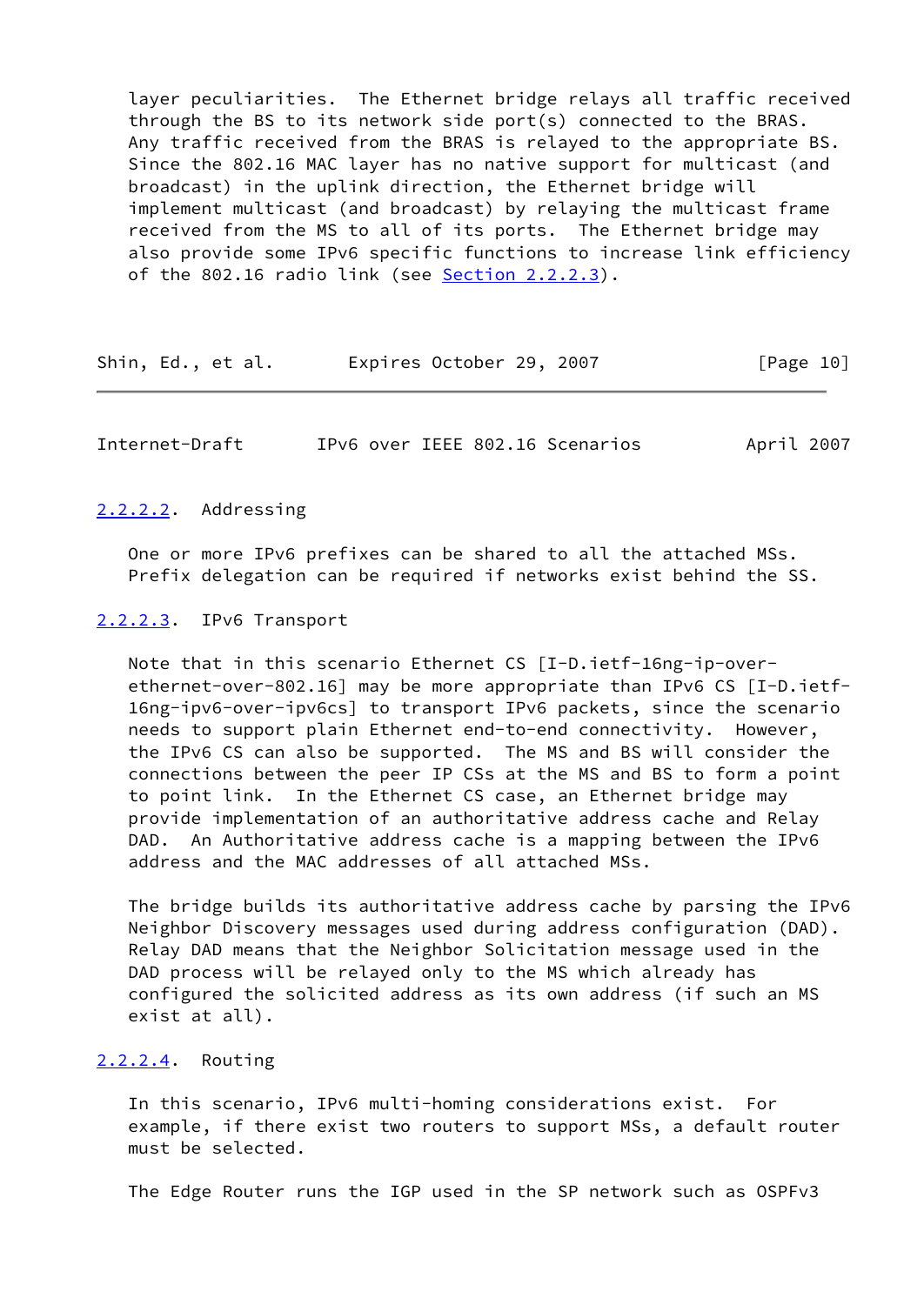layer peculiarities. The Ethernet bridge relays all traffic received through the BS to its network side port(s) connected to the BRAS. Any traffic received from the BRAS is relayed to the appropriate BS. Since the 802.16 MAC layer has no native support for multicast (and broadcast) in the uplink direction, the Ethernet bridge will implement multicast (and broadcast) by relaying the multicast frame received from the MS to all of its ports. The Ethernet bridge may also provide some IPv6 specific functions to increase link efficiency of the 802.16 radio link (see  $Section 2.2.2.3$ ).

| Shin, Ed., et al. | Expires October 29, 2007 | [Page 10] |
|-------------------|--------------------------|-----------|
|-------------------|--------------------------|-----------|

<span id="page-11-0"></span>Internet-Draft IPv6 over IEEE 802.16 Scenarios April 2007

# <span id="page-11-2"></span>[2.2.2.2](#page-11-2). Addressing

 One or more IPv6 prefixes can be shared to all the attached MSs. Prefix delegation can be required if networks exist behind the SS.

### <span id="page-11-1"></span>[2.2.2.3](#page-11-1). IPv6 Transport

 Note that in this scenario Ethernet CS [I-D.ietf-16ng-ip-over ethernet-over-802.16] may be more appropriate than IPv6 CS [I-D.ietf- 16ng-ipv6-over-ipv6cs] to transport IPv6 packets, since the scenario needs to support plain Ethernet end-to-end connectivity. However, the IPv6 CS can also be supported. The MS and BS will consider the connections between the peer IP CSs at the MS and BS to form a point to point link. In the Ethernet CS case, an Ethernet bridge may provide implementation of an authoritative address cache and Relay DAD. An Authoritative address cache is a mapping between the IPv6 address and the MAC addresses of all attached MSs.

 The bridge builds its authoritative address cache by parsing the IPv6 Neighbor Discovery messages used during address configuration (DAD). Relay DAD means that the Neighbor Solicitation message used in the DAD process will be relayed only to the MS which already has configured the solicited address as its own address (if such an MS exist at all).

## <span id="page-11-3"></span>[2.2.2.4](#page-11-3). Routing

 In this scenario, IPv6 multi-homing considerations exist. For example, if there exist two routers to support MSs, a default router must be selected.

The Edge Router runs the IGP used in the SP network such as OSPFv3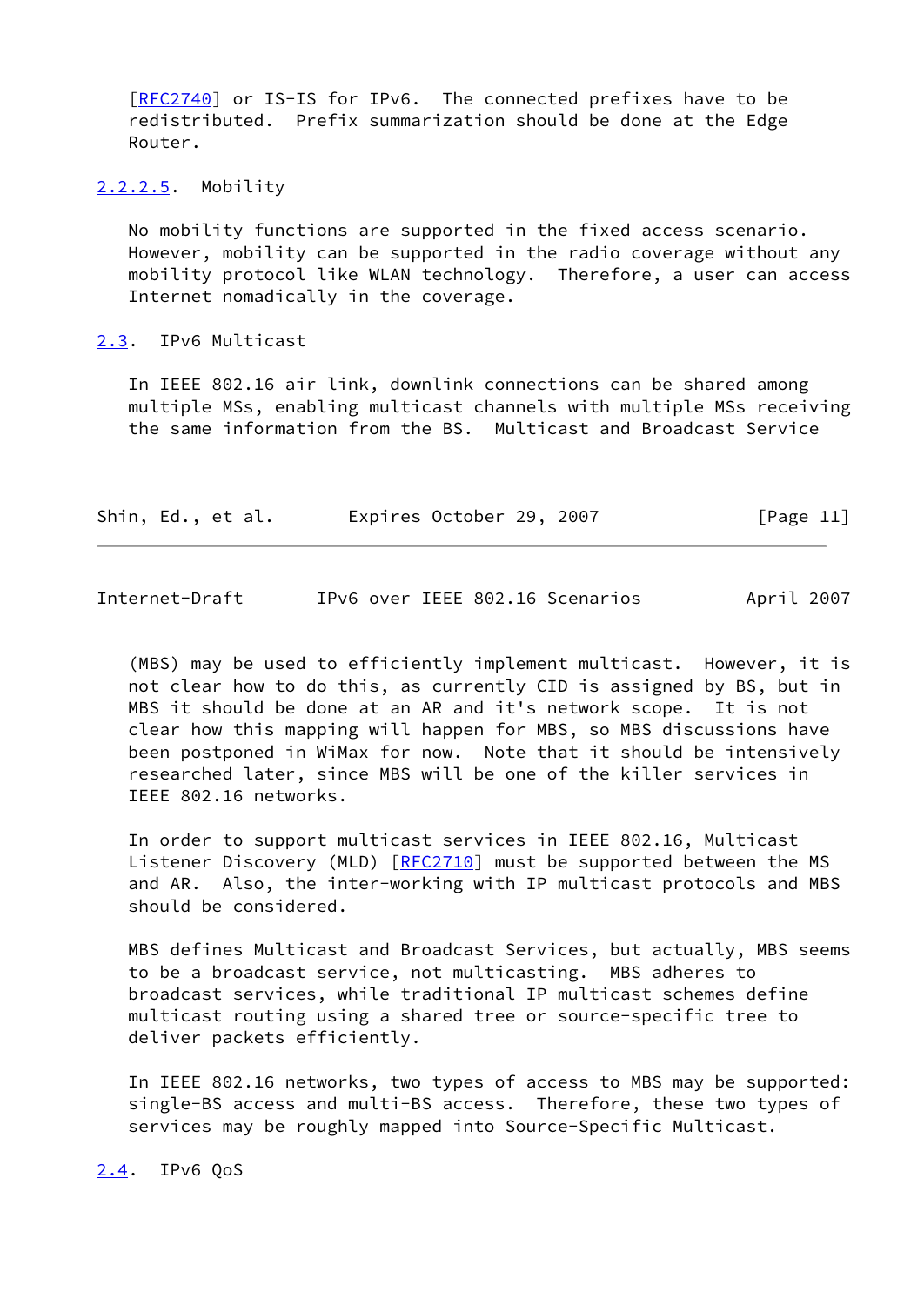[\[RFC2740](https://datatracker.ietf.org/doc/pdf/rfc2740)] or IS-IS for IPv6. The connected prefixes have to be redistributed. Prefix summarization should be done at the Edge Router.

### <span id="page-12-3"></span>[2.2.2.5](#page-12-3). Mobility

 No mobility functions are supported in the fixed access scenario. However, mobility can be supported in the radio coverage without any mobility protocol like WLAN technology. Therefore, a user can access Internet nomadically in the coverage.

### <span id="page-12-0"></span>[2.3](#page-12-0). IPv6 Multicast

 In IEEE 802.16 air link, downlink connections can be shared among multiple MSs, enabling multicast channels with multiple MSs receiving the same information from the BS. Multicast and Broadcast Service

| Shin, Ed., et al.<br>Expires October 29, 2007 | [Page 11] |
|-----------------------------------------------|-----------|
|-----------------------------------------------|-----------|

<span id="page-12-2"></span>Internet-Draft IPv6 over IEEE 802.16 Scenarios April 2007

 (MBS) may be used to efficiently implement multicast. However, it is not clear how to do this, as currently CID is assigned by BS, but in MBS it should be done at an AR and it's network scope. It is not clear how this mapping will happen for MBS, so MBS discussions have been postponed in WiMax for now. Note that it should be intensively researched later, since MBS will be one of the killer services in IEEE 802.16 networks.

 In order to support multicast services in IEEE 802.16, Multicast Listener Discovery (MLD) [\[RFC2710](https://datatracker.ietf.org/doc/pdf/rfc2710)] must be supported between the MS and AR. Also, the inter-working with IP multicast protocols and MBS should be considered.

 MBS defines Multicast and Broadcast Services, but actually, MBS seems to be a broadcast service, not multicasting. MBS adheres to broadcast services, while traditional IP multicast schemes define multicast routing using a shared tree or source-specific tree to deliver packets efficiently.

 In IEEE 802.16 networks, two types of access to MBS may be supported: single-BS access and multi-BS access. Therefore, these two types of services may be roughly mapped into Source-Specific Multicast.

<span id="page-12-1"></span>[2.4](#page-12-1). IPv6 QoS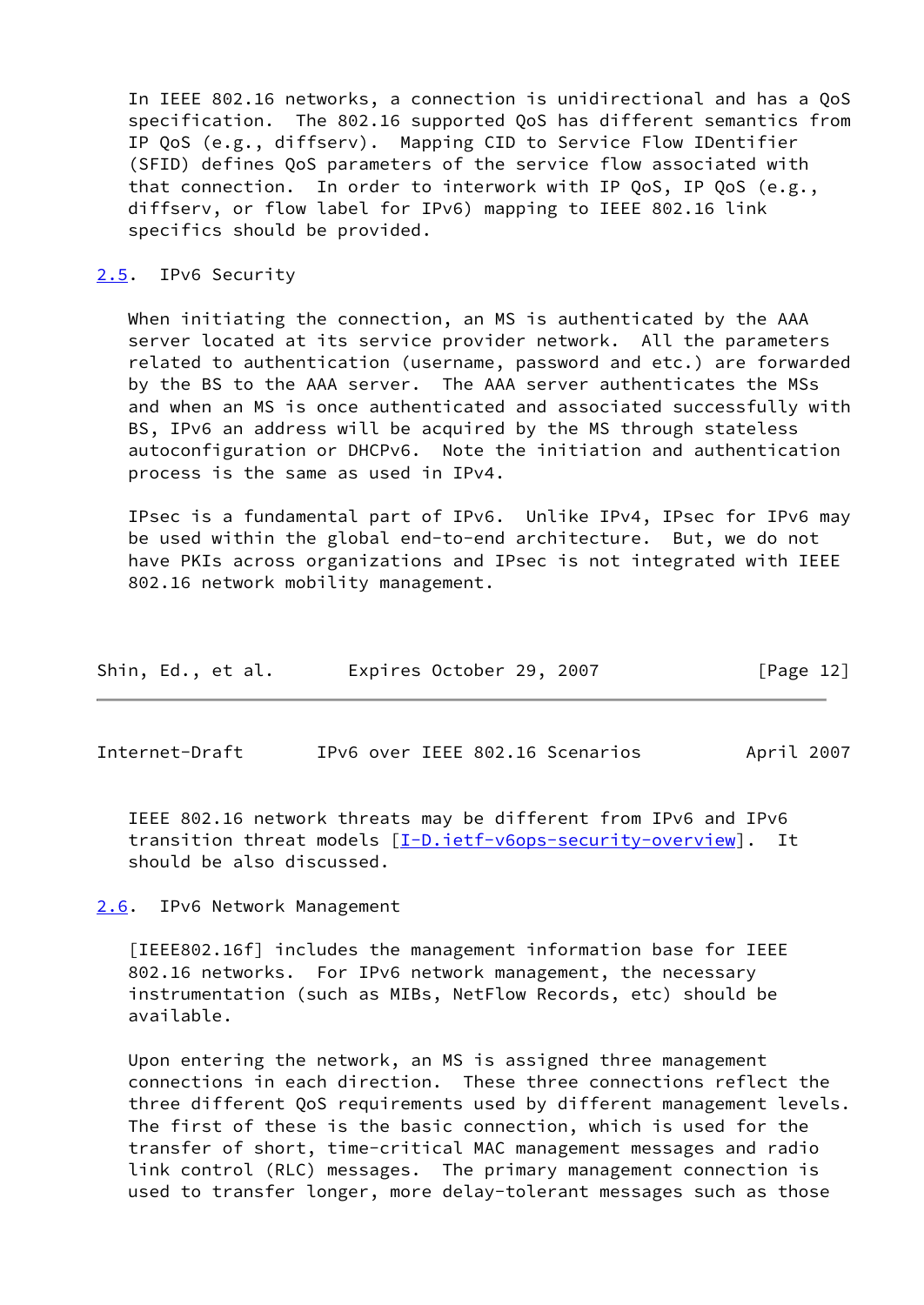In IEEE 802.16 networks, a connection is unidirectional and has a QoS specification. The 802.16 supported QoS has different semantics from IP QoS (e.g., diffserv). Mapping CID to Service Flow IDentifier (SFID) defines QoS parameters of the service flow associated with that connection. In order to interwork with IP QoS, IP QoS (e.g., diffserv, or flow label for IPv6) mapping to IEEE 802.16 link specifics should be provided.

### <span id="page-13-0"></span>[2.5](#page-13-0). IPv6 Security

 When initiating the connection, an MS is authenticated by the AAA server located at its service provider network. All the parameters related to authentication (username, password and etc.) are forwarded by the BS to the AAA server. The AAA server authenticates the MSs and when an MS is once authenticated and associated successfully with BS, IPv6 an address will be acquired by the MS through stateless autoconfiguration or DHCPv6. Note the initiation and authentication process is the same as used in IPv4.

 IPsec is a fundamental part of IPv6. Unlike IPv4, IPsec for IPv6 may be used within the global end-to-end architecture. But, we do not have PKIs across organizations and IPsec is not integrated with IEEE 802.16 network mobility management.

| Shin, Ed., et al. | Expires October 29, 2007 |  | [Page 12] |
|-------------------|--------------------------|--|-----------|
|-------------------|--------------------------|--|-----------|

<span id="page-13-2"></span>Internet-Draft IPv6 over IEEE 802.16 Scenarios April 2007

 IEEE 802.16 network threats may be different from IPv6 and IPv6 transition threat models [\[I-D.ietf-v6ops-security-overview](#page-19-4)]. It should be also discussed.

<span id="page-13-1"></span>[2.6](#page-13-1). IPv6 Network Management

 [IEEE802.16f] includes the management information base for IEEE 802.16 networks. For IPv6 network management, the necessary instrumentation (such as MIBs, NetFlow Records, etc) should be available.

 Upon entering the network, an MS is assigned three management connections in each direction. These three connections reflect the three different QoS requirements used by different management levels. The first of these is the basic connection, which is used for the transfer of short, time-critical MAC management messages and radio link control (RLC) messages. The primary management connection is used to transfer longer, more delay-tolerant messages such as those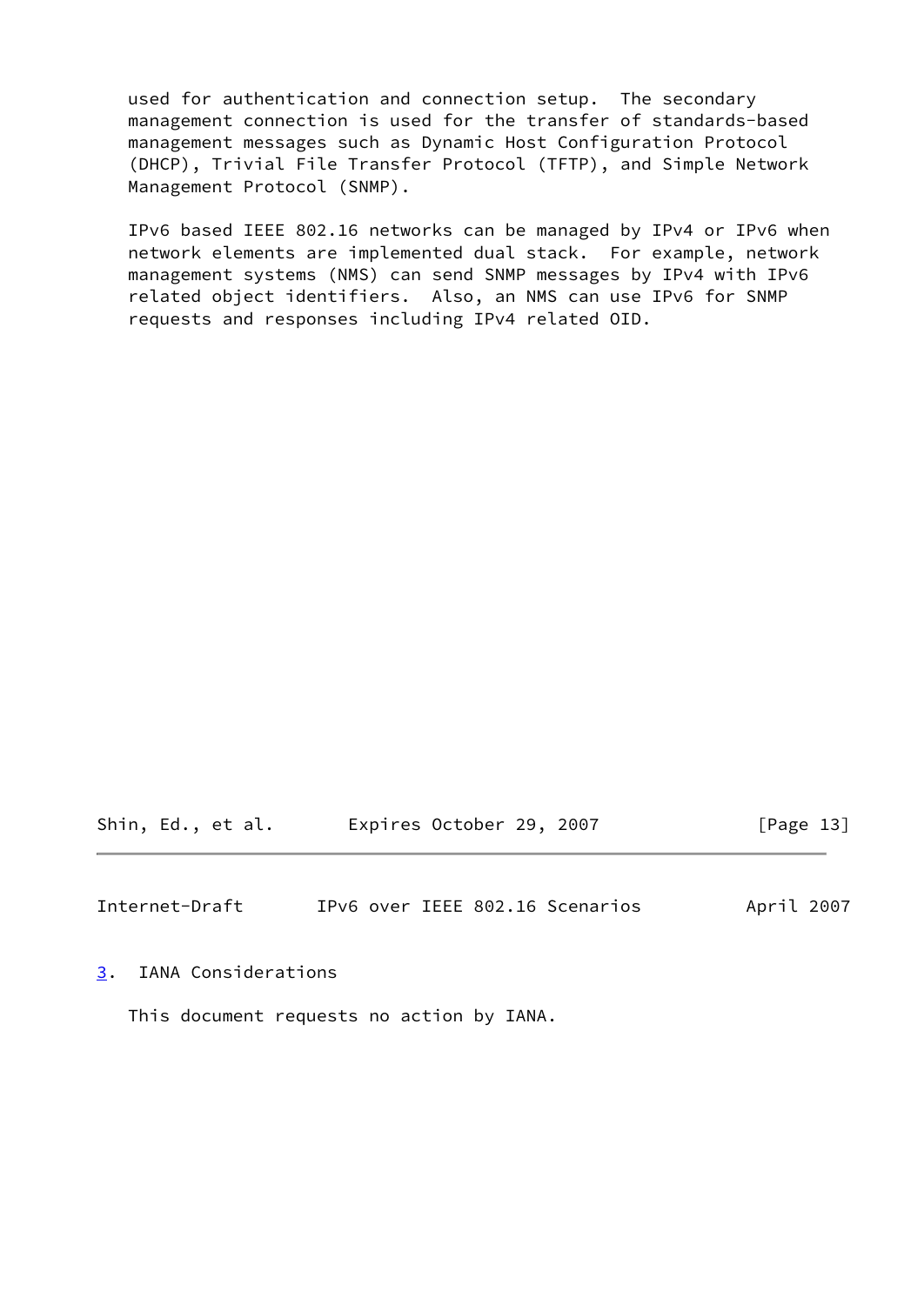used for authentication and connection setup. The secondary management connection is used for the transfer of standards-based management messages such as Dynamic Host Configuration Protocol (DHCP), Trivial File Transfer Protocol (TFTP), and Simple Network Management Protocol (SNMP).

 IPv6 based IEEE 802.16 networks can be managed by IPv4 or IPv6 when network elements are implemented dual stack. For example, network management systems (NMS) can send SNMP messages by IPv4 with IPv6 related object identifiers. Also, an NMS can use IPv6 for SNMP requests and responses including IPv4 related OID.

Shin, Ed., et al. Expires October 29, 2007 [Page 13]

<span id="page-14-1"></span>Internet-Draft IPv6 over IEEE 802.16 Scenarios April 2007

<span id="page-14-0"></span>[3](#page-14-0). IANA Considerations

This document requests no action by IANA.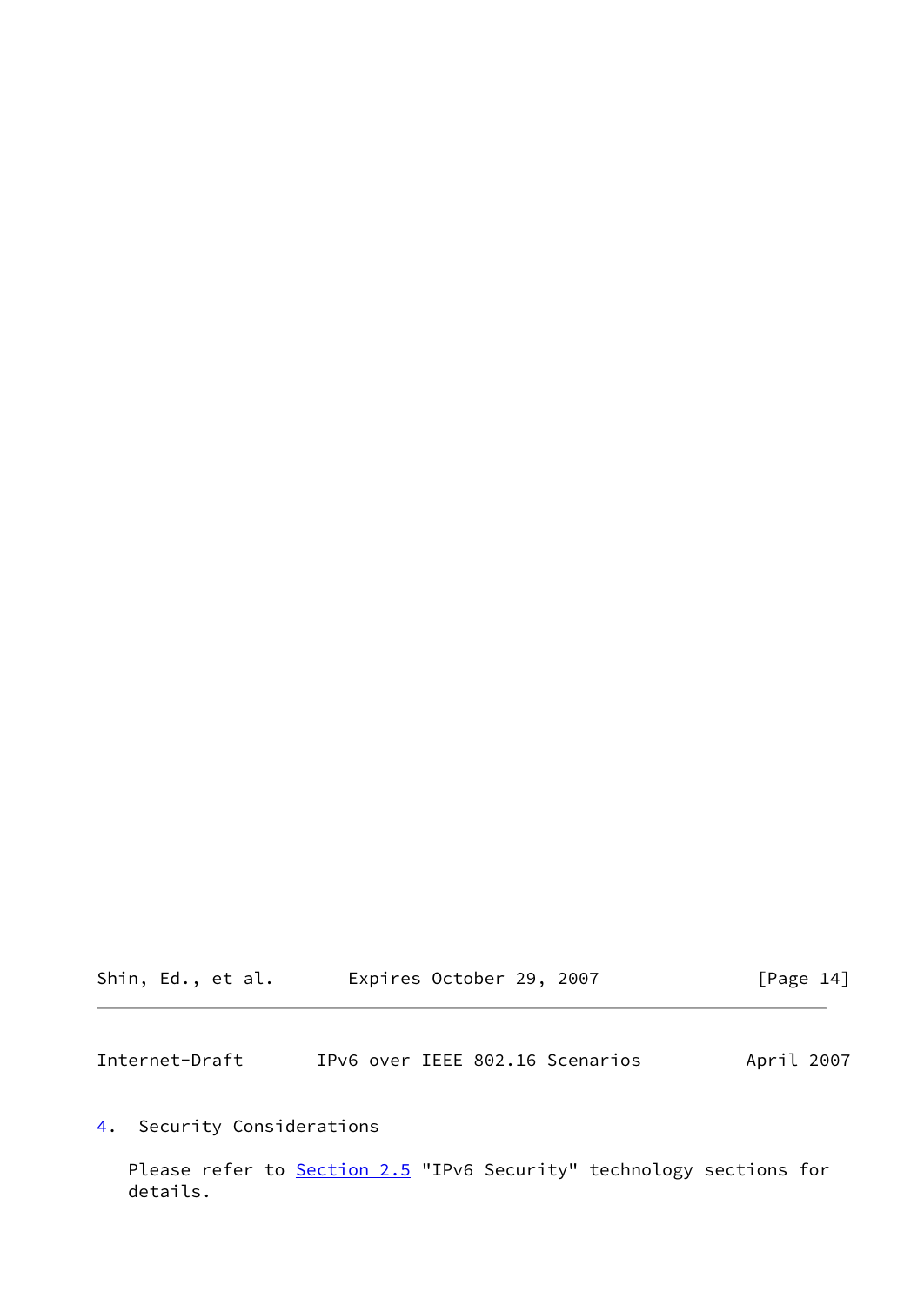| Shin, Ed., et al. | Expires October 29, 2007 | [Page 14] |
|-------------------|--------------------------|-----------|
|-------------------|--------------------------|-----------|

<span id="page-15-1"></span>Internet-Draft IPv6 over IEEE 802.16 Scenarios April 2007

<span id="page-15-0"></span>[4](#page-15-0). Security Considerations

Please refer to **Section 2.5** "IPv6 Security" technology sections for details.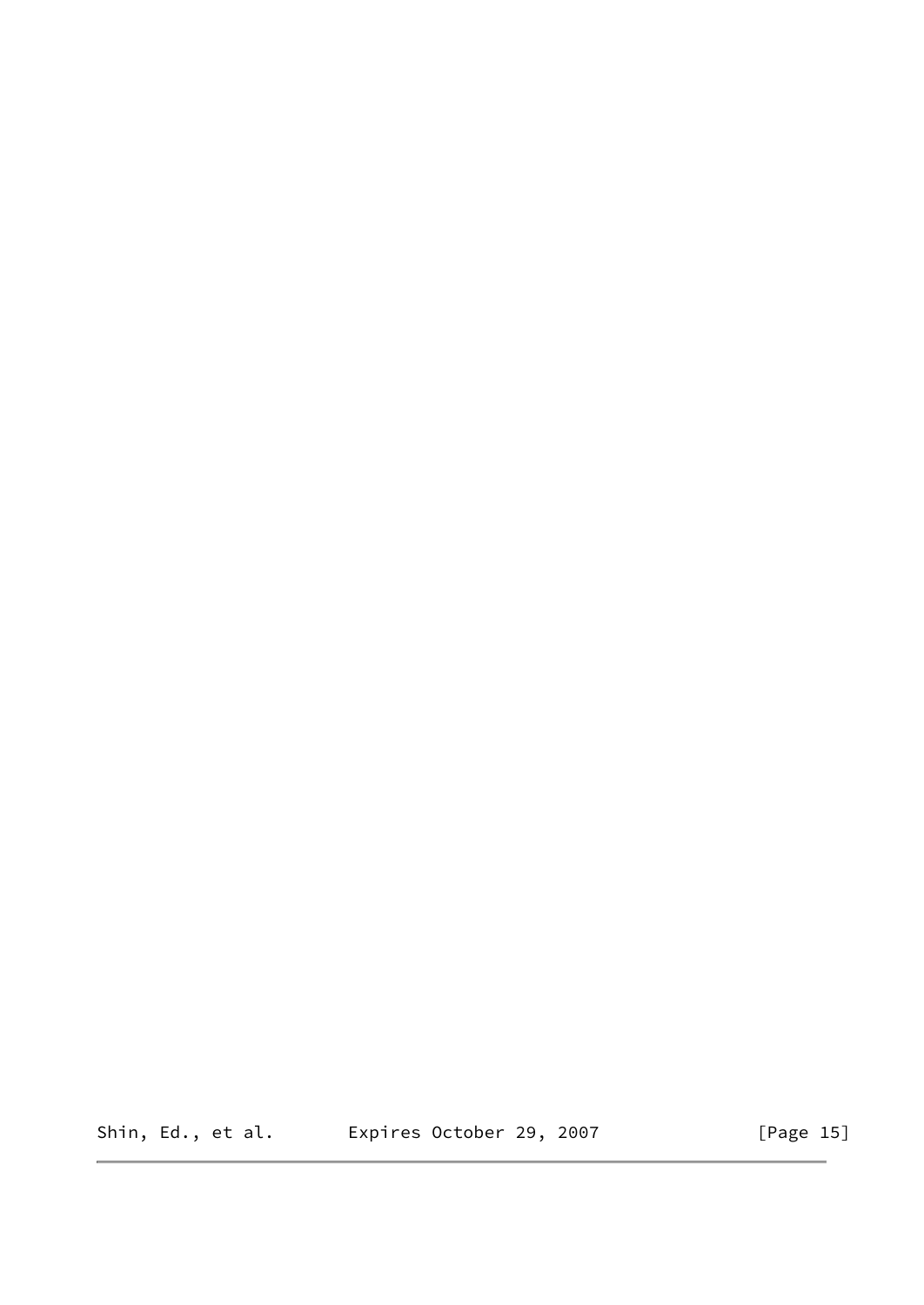Shin, Ed., et al. Expires October 29, 2007 [Page 15]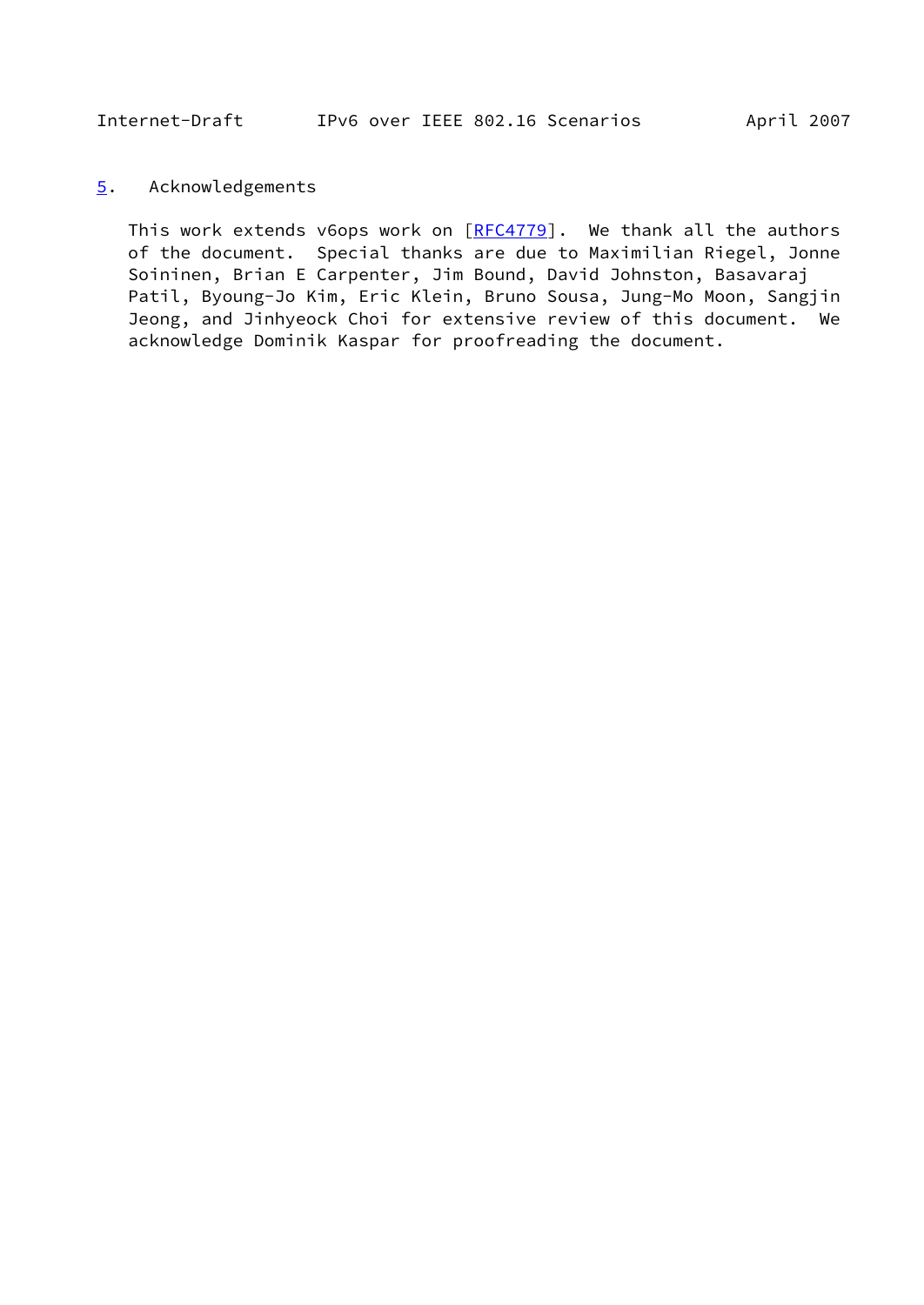<span id="page-17-1"></span><span id="page-17-0"></span>[5](#page-17-0). Acknowledgements

This work extends v6ops work on  $[REC4779]$ . We thank all the authors of the document. Special thanks are due to Maximilian Riegel, Jonne Soininen, Brian E Carpenter, Jim Bound, David Johnston, Basavaraj Patil, Byoung-Jo Kim, Eric Klein, Bruno Sousa, Jung-Mo Moon, Sangjin Jeong, and Jinhyeock Choi for extensive review of this document. We acknowledge Dominik Kaspar for proofreading the document.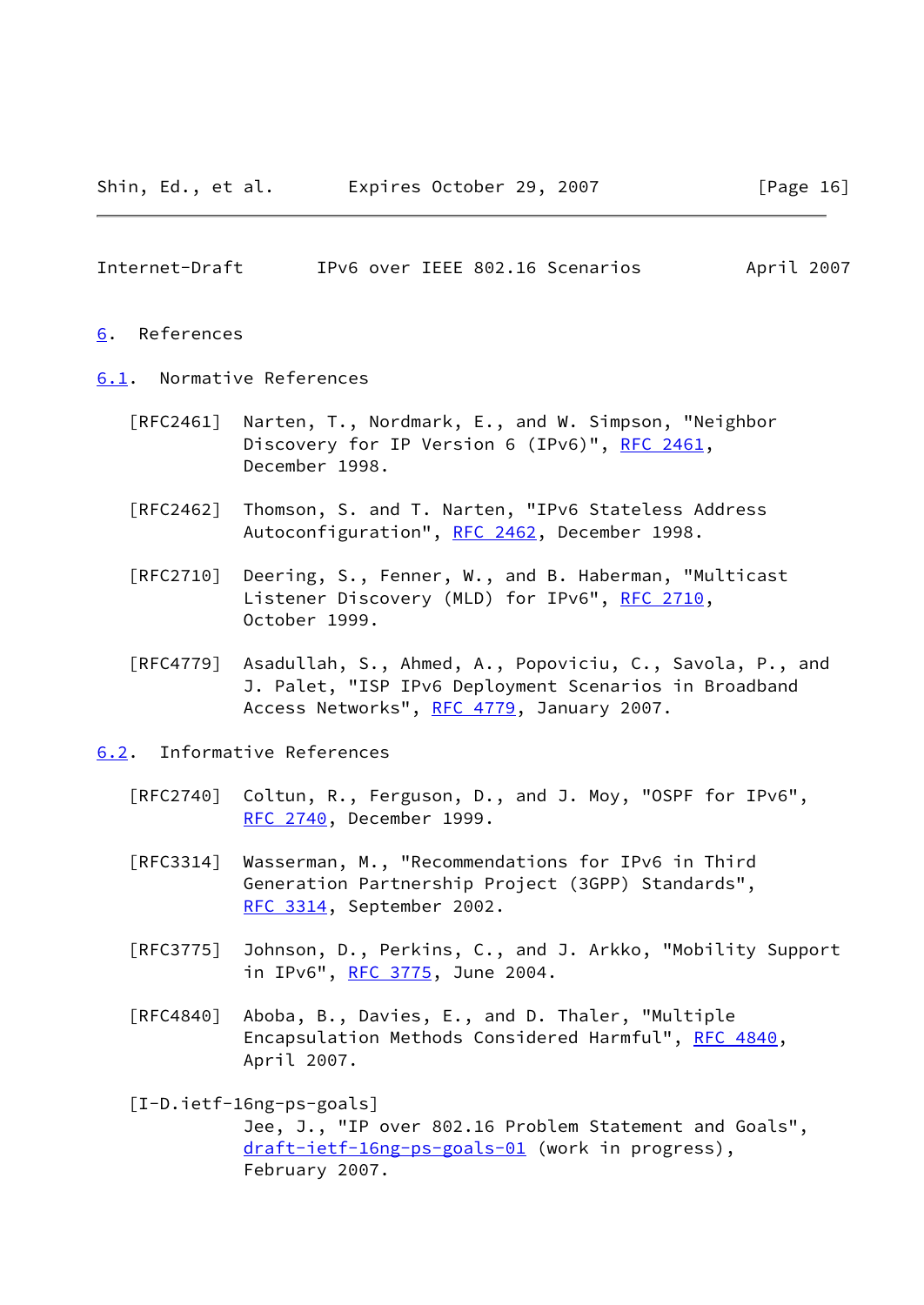### <span id="page-18-1"></span>Internet-Draft IPv6 over IEEE 802.16 Scenarios April 2007

- <span id="page-18-0"></span>[6](#page-18-0). References
- <span id="page-18-2"></span>[6.1](#page-18-2). Normative References
	- [RFC2461] Narten, T., Nordmark, E., and W. Simpson, "Neighbor Discovery for IP Version 6 (IPv6)", [RFC 2461,](https://datatracker.ietf.org/doc/pdf/rfc2461) December 1998.
	- [RFC2462] Thomson, S. and T. Narten, "IPv6 Stateless Address Autoconfiguration", [RFC 2462,](https://datatracker.ietf.org/doc/pdf/rfc2462) December 1998.
	- [RFC2710] Deering, S., Fenner, W., and B. Haberman, "Multicast Listener Discovery (MLD) for IPv6", [RFC 2710,](https://datatracker.ietf.org/doc/pdf/rfc2710) October 1999.
	- [RFC4779] Asadullah, S., Ahmed, A., Popoviciu, C., Savola, P., and J. Palet, "ISP IPv6 Deployment Scenarios in Broadband Access Networks", [RFC 4779](https://datatracker.ietf.org/doc/pdf/rfc4779), January 2007.
- <span id="page-18-3"></span>[6.2](#page-18-3). Informative References
	- [RFC2740] Coltun, R., Ferguson, D., and J. Moy, "OSPF for IPv6", [RFC 2740,](https://datatracker.ietf.org/doc/pdf/rfc2740) December 1999.
	- [RFC3314] Wasserman, M., "Recommendations for IPv6 in Third Generation Partnership Project (3GPP) Standards", [RFC 3314,](https://datatracker.ietf.org/doc/pdf/rfc3314) September 2002.
	- [RFC3775] Johnson, D., Perkins, C., and J. Arkko, "Mobility Support in IPv6", [RFC 3775](https://datatracker.ietf.org/doc/pdf/rfc3775), June 2004.
	- [RFC4840] Aboba, B., Davies, E., and D. Thaler, "Multiple Encapsulation Methods Considered Harmful", [RFC 4840](https://datatracker.ietf.org/doc/pdf/rfc4840), April 2007.

<span id="page-18-4"></span> [I-D.ietf-16ng-ps-goals] Jee, J., "IP over 802.16 Problem Statement and Goals", [draft-ietf-16ng-ps-goals-01](https://datatracker.ietf.org/doc/pdf/draft-ietf-16ng-ps-goals-01) (work in progress), February 2007.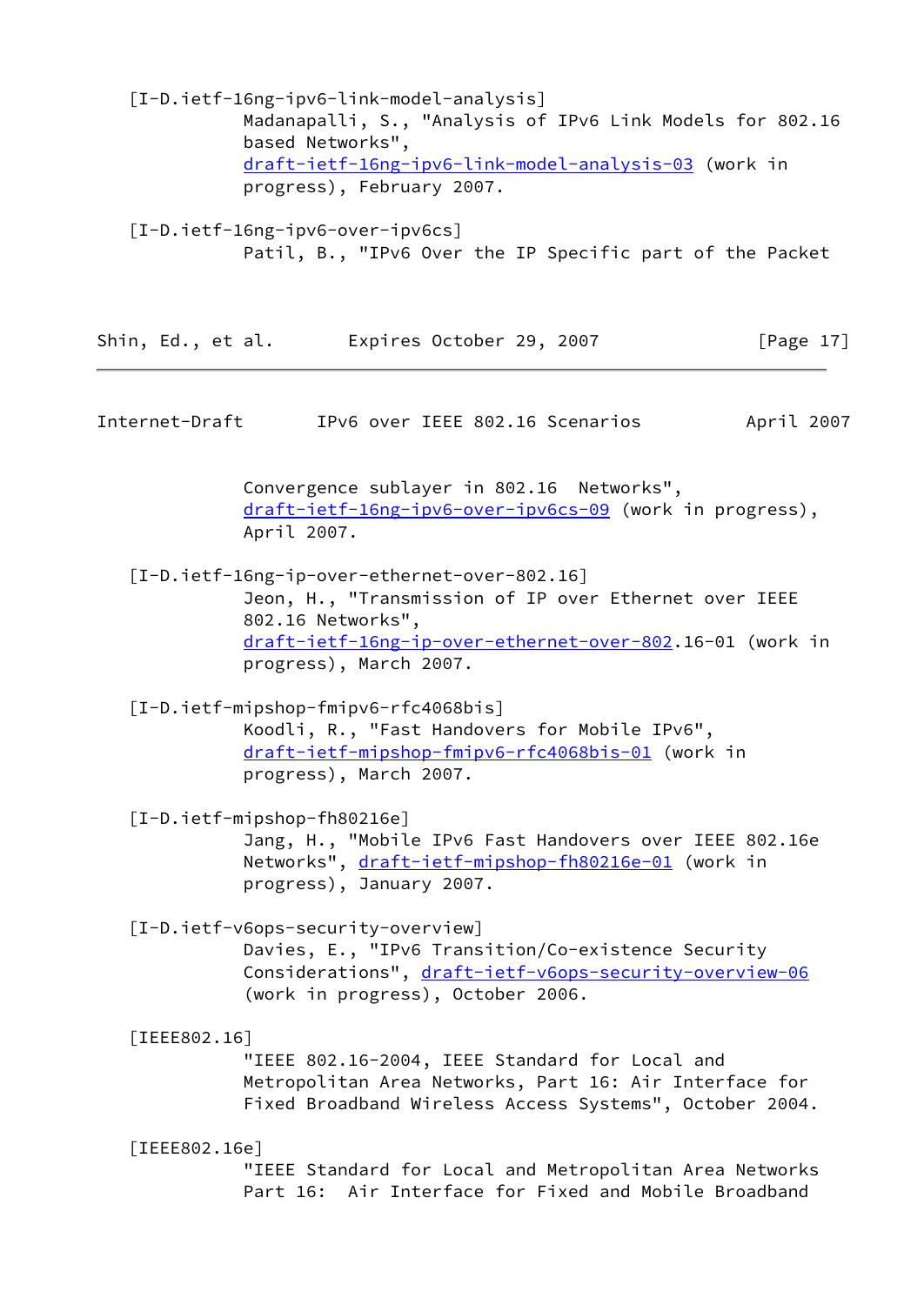<span id="page-19-4"></span><span id="page-19-3"></span><span id="page-19-2"></span><span id="page-19-1"></span><span id="page-19-0"></span> [I-D.ietf-16ng-ipv6-link-model-analysis] Madanapalli, S., "Analysis of IPv6 Link Models for 802.16 based Networks", [draft-ietf-16ng-ipv6-link-model-analysis-03](https://datatracker.ietf.org/doc/pdf/draft-ietf-16ng-ipv6-link-model-analysis-03) (work in progress), February 2007. [I-D.ietf-16ng-ipv6-over-ipv6cs] Patil, B., "IPv6 Over the IP Specific part of the Packet Shin, Ed., et al. Expires October 29, 2007 [Page 17] Internet-Draft IPv6 over IEEE 802.16 Scenarios April 2007 Convergence sublayer in 802.16 Networks", [draft-ietf-16ng-ipv6-over-ipv6cs-09](https://datatracker.ietf.org/doc/pdf/draft-ietf-16ng-ipv6-over-ipv6cs-09) (work in progress), April 2007. [I-D.ietf-16ng-ip-over-ethernet-over-802.16] Jeon, H., "Transmission of IP over Ethernet over IEEE 802.16 Networks", [draft-ietf-16ng-ip-over-ethernet-over-802.](https://datatracker.ietf.org/doc/pdf/draft-ietf-16ng-ip-over-ethernet-over-802)16-01 (work in progress), March 2007. [I-D.ietf-mipshop-fmipv6-rfc4068bis] Koodli, R., "Fast Handovers for Mobile IPv6", [draft-ietf-mipshop-fmipv6-rfc4068bis-01](https://datatracker.ietf.org/doc/pdf/draft-ietf-mipshop-fmipv6-rfc4068bis-01) (work in progress), March 2007. [I-D.ietf-mipshop-fh80216e] Jang, H., "Mobile IPv6 Fast Handovers over IEEE 802.16e Networks", [draft-ietf-mipshop-fh80216e-01](https://datatracker.ietf.org/doc/pdf/draft-ietf-mipshop-fh80216e-01) (work in progress), January 2007. [I-D.ietf-v6ops-security-overview] Davies, E., "IPv6 Transition/Co-existence Security Considerations", [draft-ietf-v6ops-security-overview-06](https://datatracker.ietf.org/doc/pdf/draft-ietf-v6ops-security-overview-06) (work in progress), October 2006. [IEEE802.16] "IEEE 802.16-2004, IEEE Standard for Local and Metropolitan Area Networks, Part 16: Air Interface for Fixed Broadband Wireless Access Systems", October 2004. [IEEE802.16e] "IEEE Standard for Local and Metropolitan Area Networks Part 16: Air Interface for Fixed and Mobile Broadband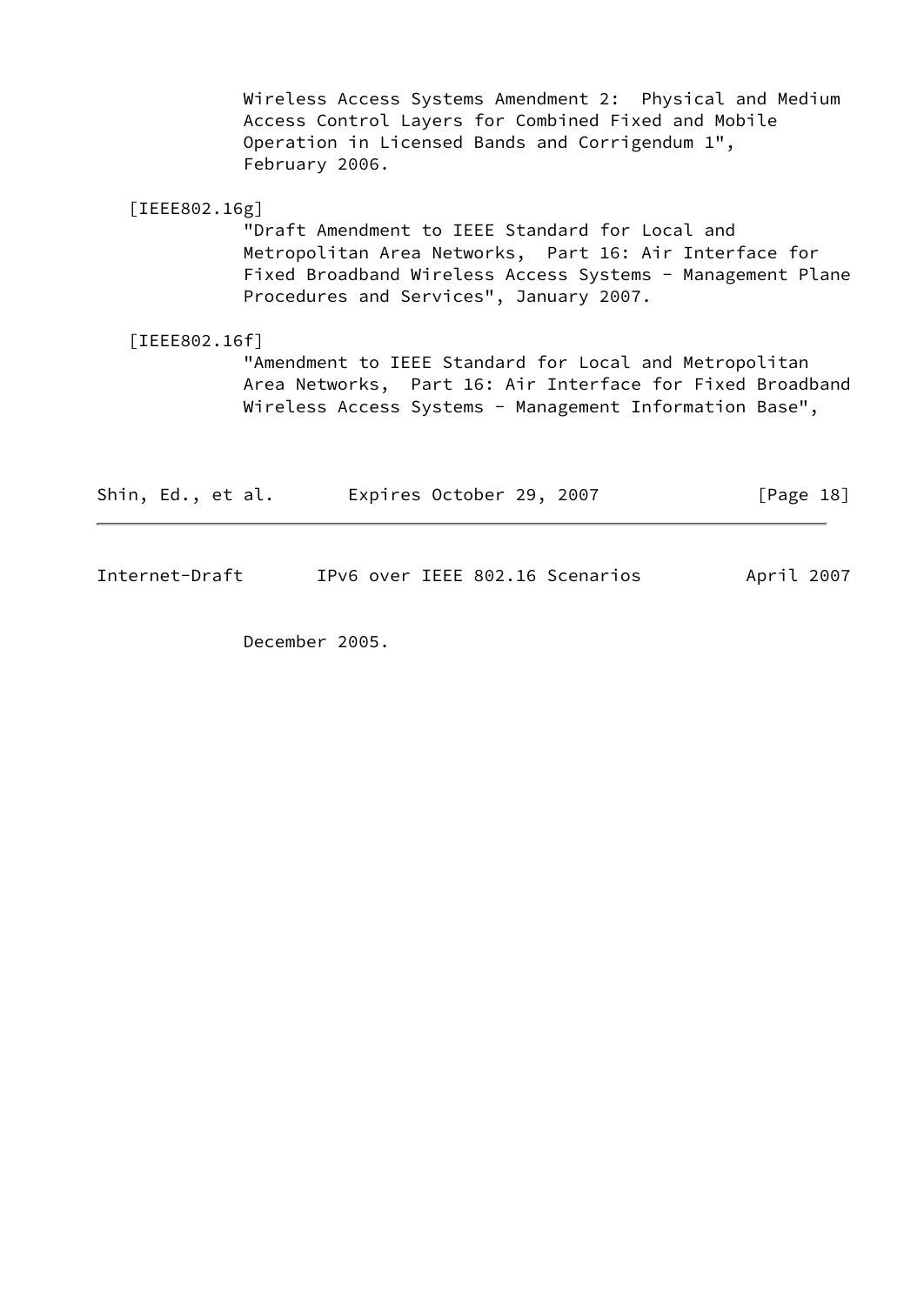Wireless Access Systems Amendment 2: Physical and Medium Access Control Layers for Combined Fixed and Mobile Operation in Licensed Bands and Corrigendum 1", February 2006.

<span id="page-20-0"></span>[IEEE802.16g]

 "Draft Amendment to IEEE Standard for Local and Metropolitan Area Networks, Part 16: Air Interface for Fixed Broadband Wireless Access Systems - Management Plane Procedures and Services", January 2007.

# [IEEE802.16f]

 "Amendment to IEEE Standard for Local and Metropolitan Area Networks, Part 16: Air Interface for Fixed Broadband Wireless Access Systems - Management Information Base",

| Shin, Ed., et al. | Expires October 29, 2007        | [Page 18]  |
|-------------------|---------------------------------|------------|
|                   |                                 |            |
| Internet-Draft    | IPv6 over IEEE 802.16 Scenarios | April 2007 |

December 2005.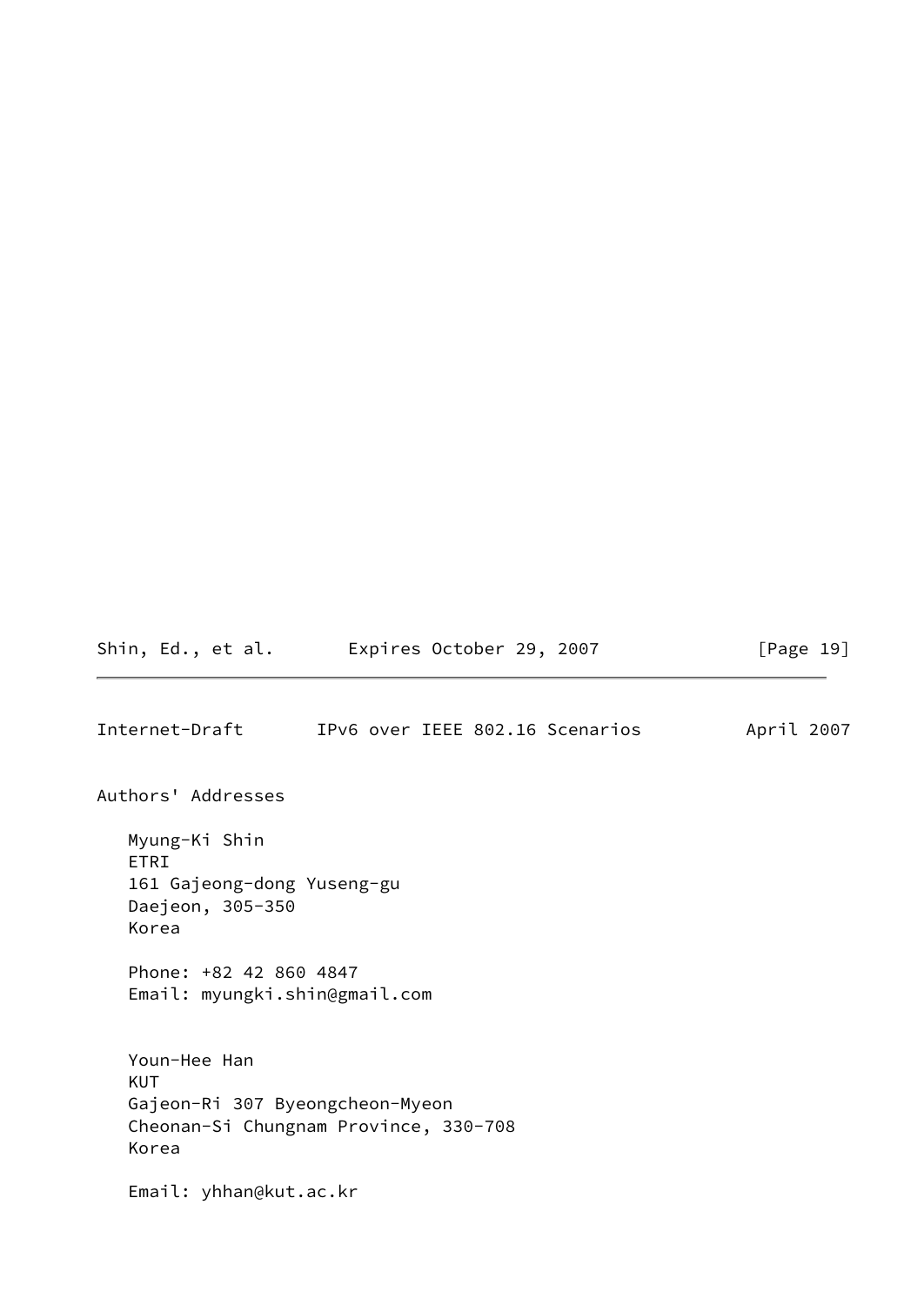Shin, Ed., et al. Expires October 29, 2007 [Page 19]

<span id="page-21-0"></span>

| Internet-Draft |  |  | IPv6 over IEEE 802.16 Scenarios | April 2007 |  |
|----------------|--|--|---------------------------------|------------|--|
|                |  |  |                                 |            |  |

Authors' Addresses

 Myung-Ki Shin ETRI 161 Gajeong-dong Yuseng-gu Daejeon, 305-350 Korea

 Phone: +82 42 860 4847 Email: myungki.shin@gmail.com

 Youn-Hee Han KUT Gajeon-Ri 307 Byeongcheon-Myeon Cheonan-Si Chungnam Province, 330-708 Korea

Email: yhhan@kut.ac.kr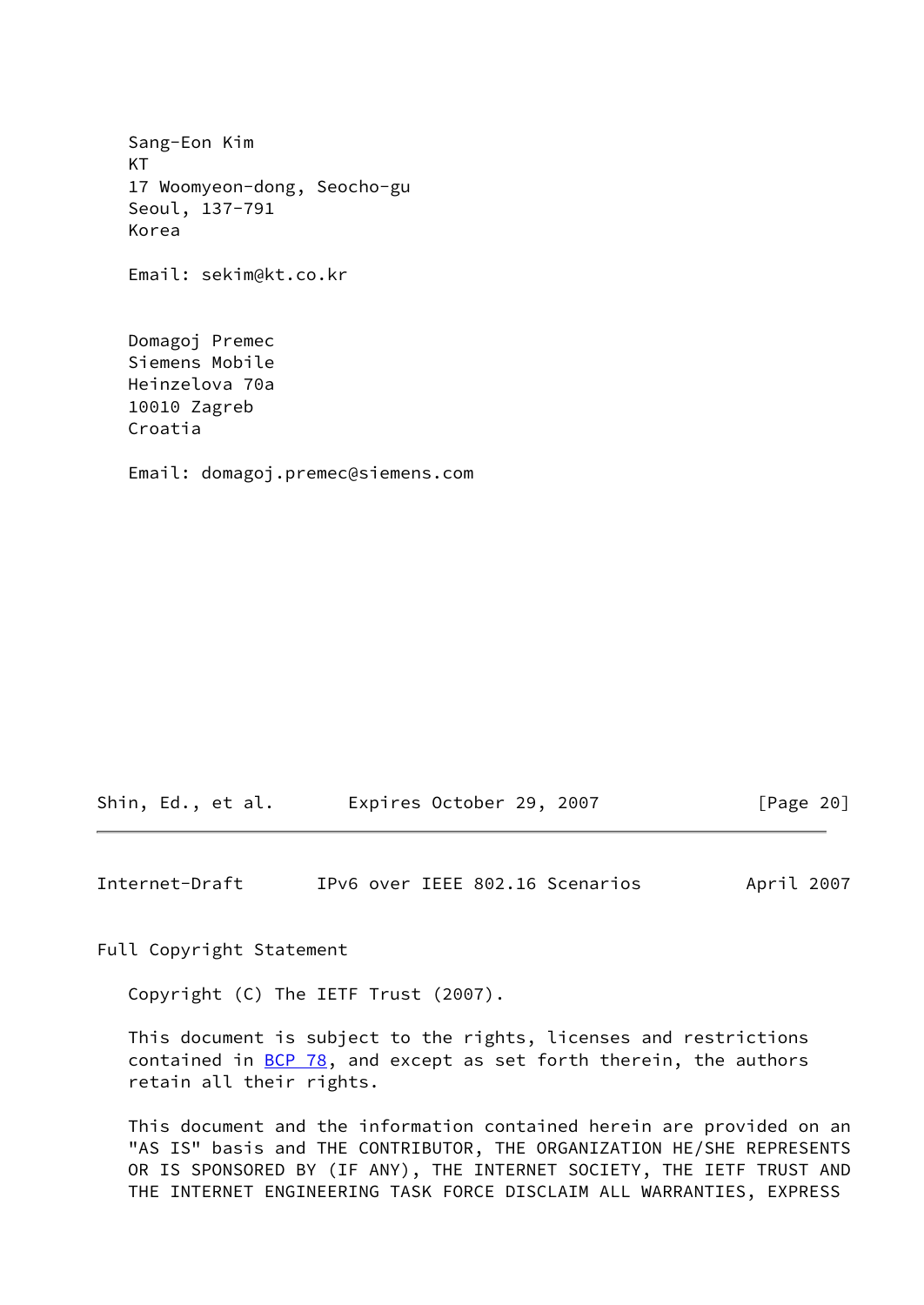Sang-Eon Kim KT 17 Woomyeon-dong, Seocho-gu Seoul, 137-791 Korea Email: sekim@kt.co.kr Domagoj Premec Siemens Mobile Heinzelova 70a 10010 Zagreb Croatia Email: domagoj.premec@siemens.com

Shin, Ed., et al. Expires October 29, 2007 [Page 20]

<span id="page-22-0"></span>Internet-Draft IPv6 over IEEE 802.16 Scenarios April 2007

Full Copyright Statement

Copyright (C) The IETF Trust (2007).

 This document is subject to the rights, licenses and restrictions contained in  $\underline{BCP}$  78, and except as set forth therein, the authors retain all their rights.

 This document and the information contained herein are provided on an "AS IS" basis and THE CONTRIBUTOR, THE ORGANIZATION HE/SHE REPRESENTS OR IS SPONSORED BY (IF ANY), THE INTERNET SOCIETY, THE IETF TRUST AND THE INTERNET ENGINEERING TASK FORCE DISCLAIM ALL WARRANTIES, EXPRESS